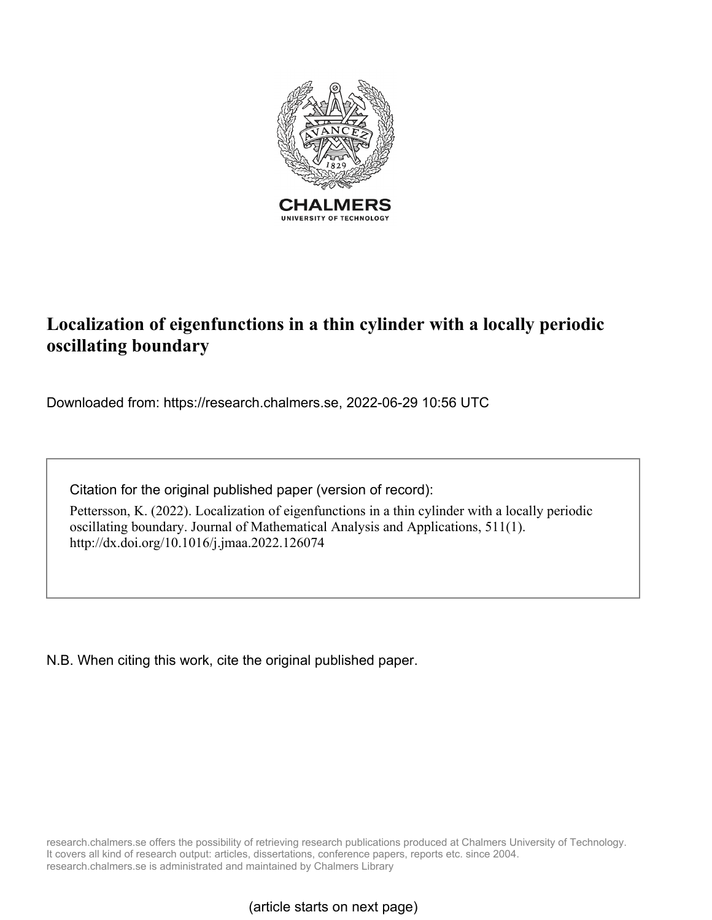

# **Localization of eigenfunctions in a thin cylinder with a locally periodic oscillating boundary**

Downloaded from: https://research.chalmers.se, 2022-06-29 10:56 UTC

Citation for the original published paper (version of record):

Pettersson, K. (2022). Localization of eigenfunctions in a thin cylinder with a locally periodic oscillating boundary. Journal of Mathematical Analysis and Applications, 511(1). http://dx.doi.org/10.1016/j.jmaa.2022.126074

N.B. When citing this work, cite the original published paper.

research.chalmers.se offers the possibility of retrieving research publications produced at Chalmers University of Technology. It covers all kind of research output: articles, dissertations, conference papers, reports etc. since 2004. research.chalmers.se is administrated and maintained by Chalmers Library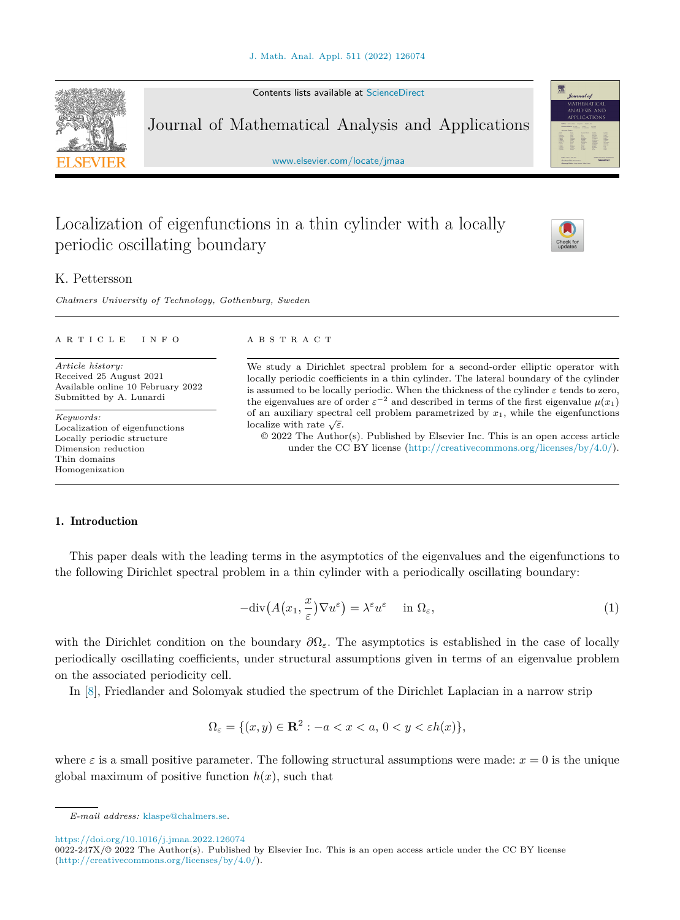Contents lists available at [ScienceDirect](http://www.ScienceDirect.com/)

Journal of Mathematical Analysis and Applications

[www.elsevier.com/locate/jmaa](http://www.elsevier.com/locate/jmaa)

# Localization of eigenfunctions in a thin cylinder with a locally periodic oscillating boundary

### K. Pettersson

*Chalmers University of Technology, Gothenburg, Sweden*

### A R T I C L E I N F O A B S T R A C T

*Article history:* Received 25 August 2021 Available online 10 February 2022 Submitted by A. Lunardi

*Keywords:* Localization of eigenfunctions Locally periodic structure Dimension reduction Thin domains Homogenization

We study a Dirichlet spectral problem for a second-order elliptic operator with locally periodic coefficients in a thin cylinder. The lateral boundary of the cylinder is assumed to be locally periodic. When the thickness of the cylinder *ε* tends to zero, the eigenvalues are of order  $\varepsilon^{-2}$  and described in terms of the first eigenvalue  $\mu(x_1)$ of an auxiliary spectral cell problem parametrized by  $x_1$ , while the eigenfunctions localize with rate  $\sqrt{\varepsilon}$ .

© 2022 The Author(s). Published by Elsevier Inc. This is an open access article under the CC BY license (<http://creativecommons.org/licenses/by/4.0/>).

### 1. Introduction

This paper deals with the leading terms in the asymptotics of the eigenvalues and the eigenfunctions to the following Dirichlet spectral problem in a thin cylinder with a periodically oscillating boundary:

$$
-\text{div}\big(A(x_1,\frac{x}{\varepsilon})\nabla u^{\varepsilon}\big) = \lambda^{\varepsilon} u^{\varepsilon} \quad \text{in } \Omega_{\varepsilon},\tag{1}
$$

with the Dirichlet condition on the boundary *∂*Ω*ε*. The asymptotics is established in the case of locally periodically oscillating coefficients, under structural assumptions given in terms of an eigenvalue problem on the associated periodicity cell.

In [\[8](#page-31-0)], Friedlander and Solomyak studied the spectrum of the Dirichlet Laplacian in a narrow strip

$$
\Omega_{\varepsilon} = \{ (x, y) \in \mathbf{R}^2 : -a < x < a, \, 0 < y < \varepsilon h(x) \},
$$

where  $\varepsilon$  is a small positive parameter. The following structural assumptions were made:  $x = 0$  is the unique global maximum of positive function  $h(x)$ , such that

<https://doi.org/10.1016/j.jmaa.2022.126074>





<span id="page-1-0"></span>

*E-mail address:* [klaspe@chalmers.se.](mailto:klaspe@chalmers.se)

 $0022-247X/\odot 2022$  The Author(s). Published by Elsevier Inc. This is an open access article under the CC BY license [\(http://creativecommons.org/licenses/by/4.0/\)](http://creativecommons.org/licenses/by/4.0/).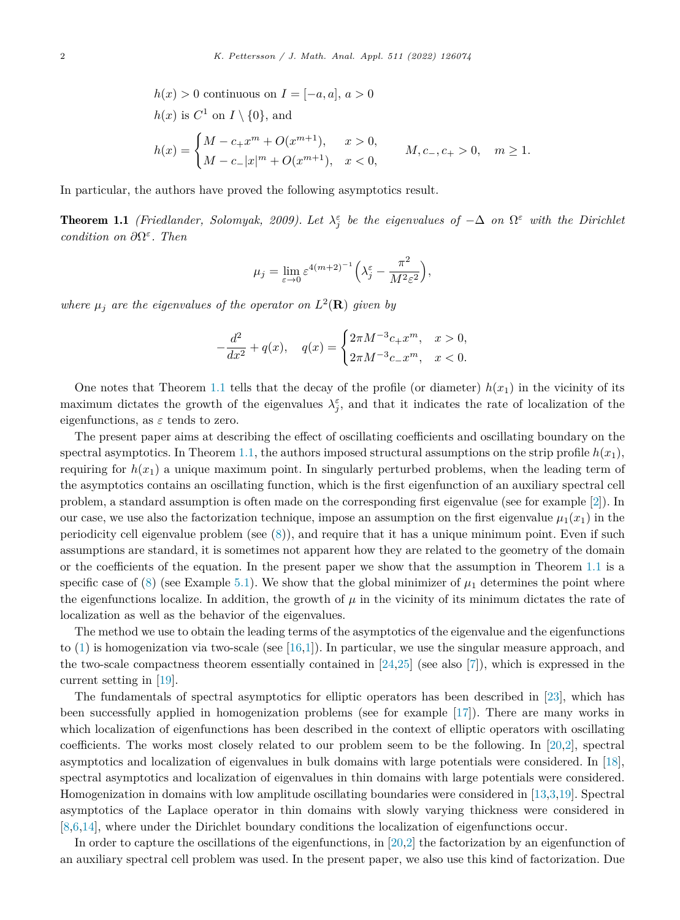<span id="page-2-0"></span>
$$
h(x) > 0 \text{ continuous on } I = [-a, a], a > 0
$$
  
\n
$$
h(x) \text{ is } C^1 \text{ on } I \setminus \{0\}, \text{ and}
$$
  
\n
$$
h(x) = \begin{cases} M - c_+ x^m + O(x^{m+1}), & x > 0, \\ M - c_- |x|^m + O(x^{m+1}), & x < 0, \end{cases} \qquad M, c_-, c_+ > 0, \quad m \ge 1.
$$

In particular, the authors have proved the following asymptotics result.

**Theorem 1.1** *(Friedlander, Solomyak, 2009).* Let  $\lambda_j^{\varepsilon}$  *be the eigenvalues of*  $-\Delta$  *on*  $\Omega^{\varepsilon}$  *with the Dirichlet condition on ∂*Ω*<sup>ε</sup>. Then*

$$
\mu_j = \lim_{\varepsilon \to 0} \varepsilon^{4(m+2)^{-1}} \left( \lambda_j^{\varepsilon} - \frac{\pi^2}{M^2 \varepsilon^2} \right),
$$

*where*  $\mu_j$  *are the eigenvalues of the operator on*  $L^2(\mathbf{R})$  *given by* 

$$
-\frac{d^2}{dx^2} + q(x), \quad q(x) = \begin{cases} 2\pi M^{-3}c_+x^m, & x > 0, \\ 2\pi M^{-3}c_-x^m, & x < 0. \end{cases}
$$

One notes that Theorem 1.1 tells that the decay of the profile (or diameter)  $h(x_1)$  in the vicinity of its maximum dictates the growth of the eigenvalues  $\lambda_j^{\varepsilon}$ , and that it indicates the rate of localization of the eigenfunctions, as  $\varepsilon$  tends to zero.

The present paper aims at describing the effect of oscillating coefficients and oscillating boundary on the spectral asymptotics. In Theorem 1.1, the authors imposed structural assumptions on the strip profile  $h(x_1)$ , requiring for  $h(x_1)$  a unique maximum point. In singularly perturbed problems, when the leading term of the asymptotics contains an oscillating function, which is the first eigenfunction of an auxiliary spectral cell problem, a standard assumption is often made on the corresponding first eigenvalue (see for example [\[2\]](#page-31-0)). In our case, we use also the factorization technique, impose an assumption on the first eigenvalue  $\mu_1(x_1)$  in the periodicity cell eigenvalue problem (see  $(8)$  $(8)$ ), and require that it has a unique minimum point. Even if such assumptions are standard, it is sometimes not apparent how they are related to the geometry of the domain or the coefficients of the equation. In the present paper we show that the assumption in Theorem 1.1 is a specific case of  $(8)$  $(8)$  (see Example [5.1\)](#page-28-0). We show that the global minimizer of  $\mu_1$  determines the point where the eigenfunctions localize. In addition, the growth of  $\mu$  in the vicinity of its minimum dictates the rate of localization as well as the behavior of the eigenvalues.

The method we use to obtain the leading terms of the asymptotics of the eigenvalue and the eigenfunctions to ([1\)](#page-1-0) is homogenization via two-scale (see [[16,1](#page-31-0)]). In particular, we use the singular measure approach, and the two-scale compactness theorem essentially contained in  $[24,25]$  $[24,25]$  $[24,25]$  (see also  $[7]$  $[7]$ ), which is expressed in the current setting in [\[19](#page-31-0)].

The fundamentals of spectral asymptotics for elliptic operators has been described in [\[23\]](#page-31-0), which has been successfully applied in homogenization problems (see for example [\[17\]](#page-31-0)). There are many works in which localization of eigenfunctions has been described in the context of elliptic operators with oscillating coefficients. The works most closely related to our problem seem to be the following. In [\[20,2](#page-31-0)], spectral asymptotics and localization of eigenvalues in bulk domains with large potentials were considered. In [[18\]](#page-31-0), spectral asymptotics and localization of eigenvalues in thin domains with large potentials were considered. Homogenization in domains with low amplitude oscillating boundaries were considered in [[13,3,19](#page-31-0)]. Spectral asymptotics of the Laplace operator in thin domains with slowly varying thickness were considered in [[8,6,14](#page-31-0)], where under the Dirichlet boundary conditions the localization of eigenfunctions occur.

In order to capture the oscillations of the eigenfunctions, in [\[20,2](#page-31-0)] the factorization by an eigenfunction of an auxiliary spectral cell problem was used. In the present paper, we also use this kind of factorization. Due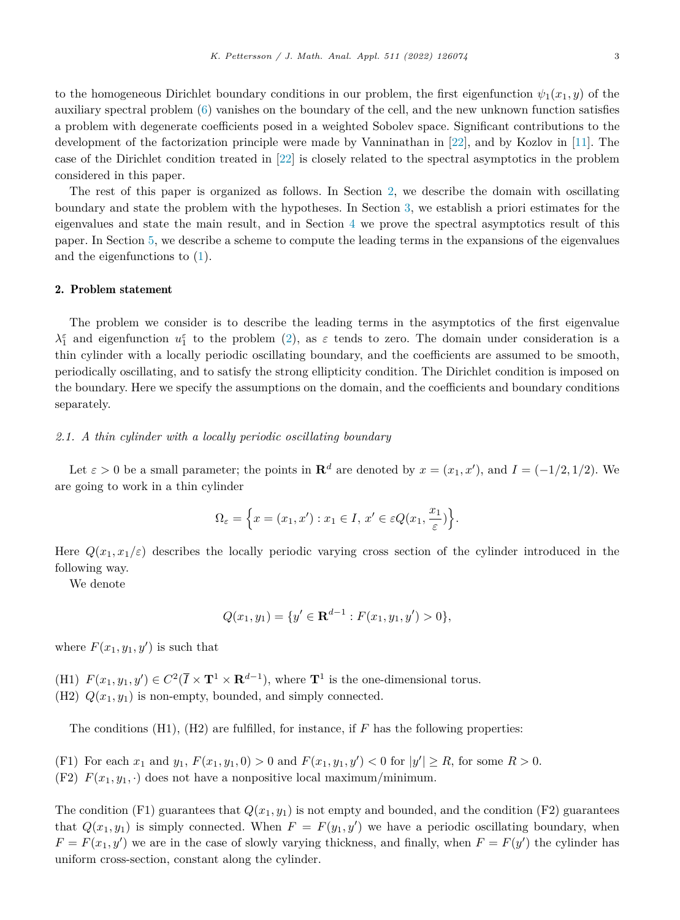<span id="page-3-0"></span>to the homogeneous Dirichlet boundary conditions in our problem, the first eigenfunction  $\psi_1(x_1, y)$  of the auxiliary spectral problem ([6\)](#page-5-0) vanishes on the boundary of the cell, and the new unknown function satisfies a problem with degenerate coefficients posed in a weighted Sobolev space. Significant contributions to the development of the factorization principle were made by Vanninathan in [[22\]](#page-31-0), and by Kozlov in [\[11\]](#page-31-0). The case of the Dirichlet condition treated in [\[22](#page-31-0)] is closely related to the spectral asymptotics in the problem considered in this paper.

The rest of this paper is organized as follows. In Section 2, we describe the domain with oscillating boundary and state the problem with the hypotheses. In Section [3,](#page-5-0) we establish a priori estimates for the eigenvalues and state the main result, and in Section [4](#page-10-0) we prove the spectral asymptotics result of this paper. In Section [5,](#page-26-0) we describe a scheme to compute the leading terms in the expansions of the eigenvalues and the eigenfunctions to ([1\)](#page-1-0).

### 2. Problem statement

The problem we consider is to describe the leading terms in the asymptotics of the first eigenvalue  $\lambda_1^{\varepsilon}$  and eigenfunction  $u_1^{\varepsilon}$  to the problem ([2\)](#page-4-0), as  $\varepsilon$  tends to zero. The domain under consideration is a thin cylinder with a locally periodic oscillating boundary, and the coefficients are assumed to be smooth, periodically oscillating, and to satisfy the strong ellipticity condition. The Dirichlet condition is imposed on the boundary. Here we specify the assumptions on the domain, and the coefficients and boundary conditions separately.

### *2.1. A thin cylinder with a locally periodic oscillating boundary*

Let  $\varepsilon > 0$  be a small parameter; the points in  $\mathbb{R}^d$  are denoted by  $x = (x_1, x')$ , and  $I = (-1/2, 1/2)$ . We are going to work in a thin cylinder

$$
\Omega_{\varepsilon} = \left\{ x = (x_1, x') : x_1 \in I, \, x' \in \varepsilon Q(x_1, \frac{x_1}{\varepsilon}) \right\}.
$$

Here  $Q(x_1, x_1/\varepsilon)$  describes the locally periodic varying cross section of the cylinder introduced in the following way.

We denote

$$
Q(x_1, y_1) = \{y' \in \mathbf{R}^{d-1} : F(x_1, y_1, y') > 0\},\
$$

where  $F(x_1, y_1, y')$  is such that

(H1)  $F(x_1, y_1, y') \in C^2(\overline{I} \times \mathbf{T}^1 \times \mathbf{R}^{d-1})$ , where  $\mathbf{T}^1$  is the one-dimensional torus. (H2)  $Q(x_1, y_1)$  is non-empty, bounded, and simply connected.

The conditions (H1), (H2) are fulfilled, for instance, if *F* has the following properties:

(F1) For each  $x_1$  and  $y_1$ ,  $F(x_1, y_1, 0) > 0$  and  $F(x_1, y_1, y') < 0$  for  $|y'| \ge R$ , for some  $R > 0$ .

(F2)  $F(x_1, y_1, \cdot)$  does not have a nonpositive local maximum/minimum.

The condition  $(F1)$  guarantees that  $Q(x_1, y_1)$  is not empty and bounded, and the condition  $(F2)$  guarantees that  $Q(x_1, y_1)$  is simply connected. When  $F = F(y_1, y')$  we have a periodic oscillating boundary, when  $F = F(x_1, y')$  we are in the case of slowly varying thickness, and finally, when  $F = F(y')$  the cylinder has uniform cross-section, constant along the cylinder.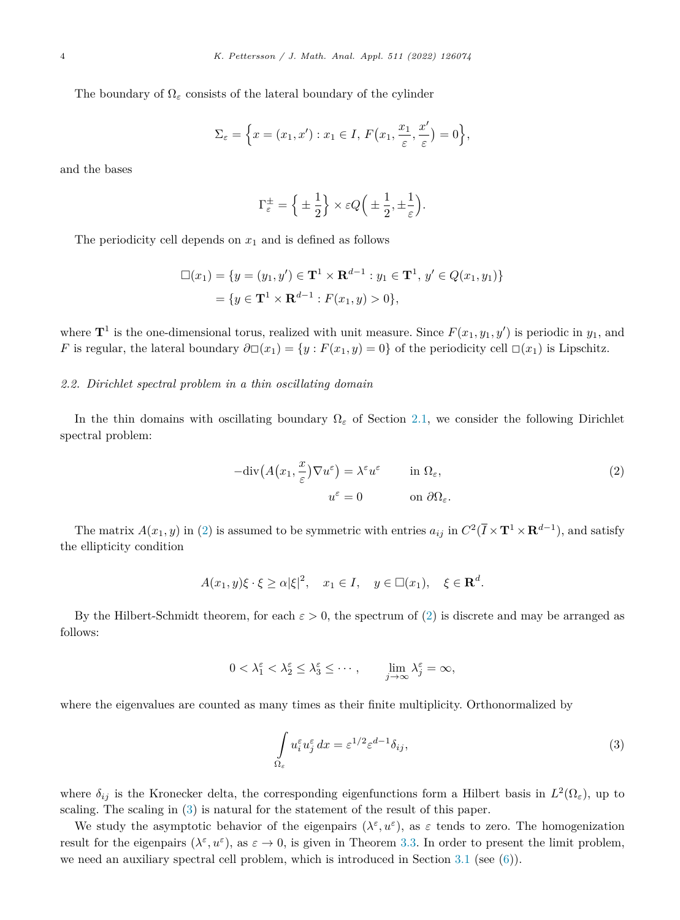<span id="page-4-0"></span>The boundary of  $\Omega_{\varepsilon}$  consists of the lateral boundary of the cylinder

$$
\Sigma_{\varepsilon} = \left\{ x = (x_1, x') : x_1 \in I, F(x_1, \frac{x_1}{\varepsilon}, \frac{x'}{\varepsilon}) = 0 \right\},\,
$$

and the bases

$$
\Gamma_{\varepsilon}^{\pm} = \left\{ \pm \frac{1}{2} \right\} \times \varepsilon Q \left( \pm \frac{1}{2}, \pm \frac{1}{\varepsilon} \right).
$$

The periodicity cell depends on  $x_1$  and is defined as follows

$$
\Box(x_1) = \{ y = (y_1, y') \in \mathbf{T}^1 \times \mathbf{R}^{d-1} : y_1 \in \mathbf{T}^1, y' \in Q(x_1, y_1) \}
$$

$$
= \{ y \in \mathbf{T}^1 \times \mathbf{R}^{d-1} : F(x_1, y) > 0 \},
$$

where  $\mathbf{T}^1$  is the one-dimensional torus, realized with unit measure. Since  $F(x_1, y_1, y')$  is periodic in  $y_1$ , and *F* is regular, the lateral boundary  $\partial \Box(x_1) = \{y : F(x_1, y) = 0\}$  of the periodicity cell  $\Box(x_1)$  is Lipschitz.

### *2.2. Dirichlet spectral problem in a thin oscillating domain*

In the thin domains with oscillating boundary Ω*<sup>ε</sup>* of Section [2.1](#page-3-0), we consider the following Dirichlet spectral problem:

$$
-\text{div}\left(A(x_1, \frac{x}{\varepsilon})\nabla u^{\varepsilon}\right) = \lambda^{\varepsilon} u^{\varepsilon} \qquad \text{in } \Omega_{\varepsilon},
$$
  

$$
u^{\varepsilon} = 0 \qquad \text{on } \partial\Omega_{\varepsilon}.
$$
 (2)

The matrix  $A(x_1, y)$  in (2) is assumed to be symmetric with entries  $a_{ij}$  in  $C^2(\overline{I} \times \mathbf{T}^1 \times \mathbf{R}^{d-1})$ , and satisfy the ellipticity condition

$$
A(x_1, y)\xi \cdot \xi \ge \alpha |\xi|^2, \quad x_1 \in I, \quad y \in \Box(x_1), \quad \xi \in \mathbf{R}^d.
$$

By the Hilbert-Schmidt theorem, for each  $\varepsilon > 0$ , the spectrum of (2) is discrete and may be arranged as follows:

$$
0 < \lambda_1^{\varepsilon} < \lambda_2^{\varepsilon} \le \lambda_3^{\varepsilon} \le \cdots, \qquad \lim_{j \to \infty} \lambda_j^{\varepsilon} = \infty,
$$

where the eigenvalues are counted as many times as their finite multiplicity. Orthonormalized by

$$
\int_{\Omega_{\varepsilon}} u_i^{\varepsilon} u_j^{\varepsilon} dx = \varepsilon^{1/2} \varepsilon^{d-1} \delta_{ij},
$$
\n(3)

where  $\delta_{ij}$  is the Kronecker delta, the corresponding eigenfunctions form a Hilbert basis in  $L^2(\Omega_{\varepsilon})$ , up to scaling. The scaling in (3) is natural for the statement of the result of this paper.

We study the asymptotic behavior of the eigenpairs  $(\lambda^{\varepsilon}, u^{\varepsilon})$ , as  $\varepsilon$  tends to zero. The homogenization result for the eigenpairs  $(\lambda^{\varepsilon}, u^{\varepsilon})$ , as  $\varepsilon \to 0$ , is given in Theorem [3.3](#page-9-0). In order to present the limit problem, we need an auxiliary spectral cell problem, which is introduced in Section [3.1](#page-5-0) (see [\(6](#page-5-0))).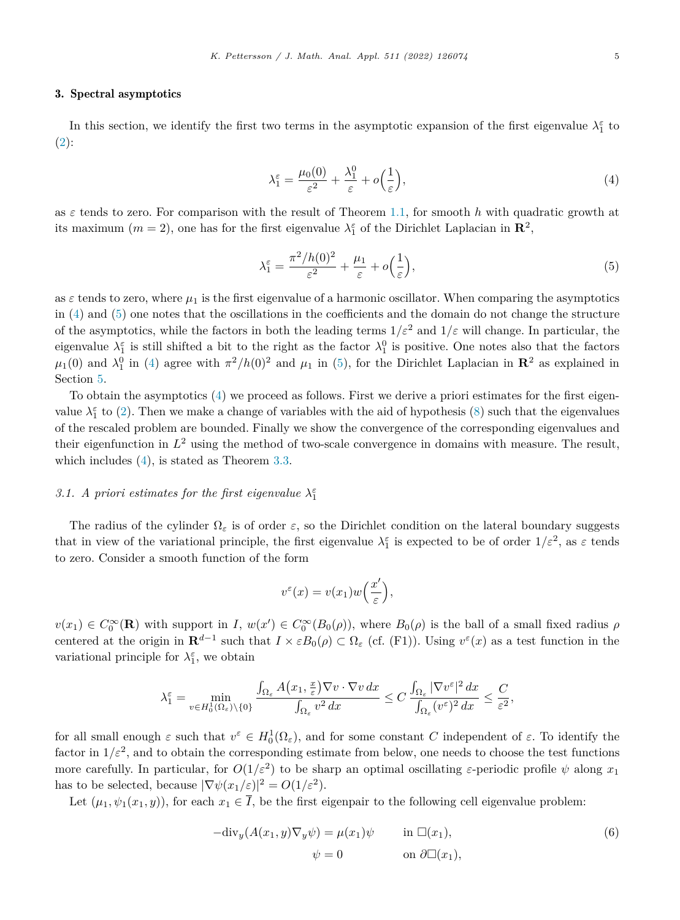### <span id="page-5-0"></span>3. Spectral asymptotics

In this section, we identify the first two terms in the asymptotic expansion of the first eigenvalue  $\lambda_1^{\varepsilon}$  to  $(2)$  $(2)$ :

$$
\lambda_1^{\varepsilon} = \frac{\mu_0(0)}{\varepsilon^2} + \frac{\lambda_1^0}{\varepsilon} + o\left(\frac{1}{\varepsilon}\right),\tag{4}
$$

as  $\varepsilon$  tends to zero. For comparison with the result of Theorem [1.1](#page-2-0), for smooth h with quadratic growth at its maximum  $(m = 2)$ , one has for the first eigenvalue  $\lambda_1^{\varepsilon}$  of the Dirichlet Laplacian in  $\mathbb{R}^2$ ,

$$
\lambda_1^{\varepsilon} = \frac{\pi^2 / h(0)^2}{\varepsilon^2} + \frac{\mu_1}{\varepsilon} + o\left(\frac{1}{\varepsilon}\right),\tag{5}
$$

as  $\varepsilon$  tends to zero, where  $\mu_1$  is the first eigenvalue of a harmonic oscillator. When comparing the asymptotics in (4) and (5) one notes that the oscillations in the coefficients and the domain do not change the structure of the asymptotics, while the factors in both the leading terms  $1/\varepsilon^2$  and  $1/\varepsilon$  will change. In particular, the eigenvalue  $\lambda_1^{\varepsilon}$  is still shifted a bit to the right as the factor  $\lambda_1^0$  is positive. One notes also that the factors  $\mu_1(0)$  and  $\lambda_1^0$  in (4) agree with  $\pi^2/h(0)^2$  and  $\mu_1$  in (5), for the Dirichlet Laplacian in  $\mathbb{R}^2$  as explained in Section [5.](#page-26-0)

To obtain the asymptotics (4) we proceed as follows. First we derive a priori estimates for the first eigenvalue  $\lambda_1^{\varepsilon}$  to [\(2](#page-4-0)). Then we make a change of variables with the aid of hypothesis ([8\)](#page-6-0) such that the eigenvalues of the rescaled problem are bounded. Finally we show the convergence of the corresponding eigenvalues and their eigenfunction in  $L^2$  using the method of two-scale convergence in domains with measure. The result, which includes (4), is stated as Theorem [3.3](#page-9-0).

## *3.1. A priori estimates for the first eigenvalue*  $\lambda_1^{\varepsilon}$

The radius of the cylinder  $\Omega_{\varepsilon}$  is of order  $\varepsilon$ , so the Dirichlet condition on the lateral boundary suggests that in view of the variational principle, the first eigenvalue  $\lambda_1^{\varepsilon}$  is expected to be of order  $1/\varepsilon^2$ , as  $\varepsilon$  tends to zero. Consider a smooth function of the form

$$
v^{\varepsilon}(x) = v(x_1)w\left(\frac{x'}{\varepsilon}\right),\,
$$

 $v(x_1) \in C_0^{\infty}(\mathbf{R})$  with support in *I*,  $w(x') \in C_0^{\infty}(B_0(\rho))$ , where  $B_0(\rho)$  is the ball of a small fixed radius  $\rho$ centered at the origin in  $\mathbf{R}^{d-1}$  such that  $I \times \varepsilon B_0(\rho) \subset \Omega_{\varepsilon}$  (cf. (F1)). Using  $v^{\varepsilon}(x)$  as a test function in the variational principle for  $\lambda_1^{\varepsilon}$ , we obtain

$$
\lambda_1^\varepsilon=\min_{v\in H_0^1(\Omega_\varepsilon)\backslash\{0\}}\frac{\int_{\Omega_\varepsilon} A\big(x_1,\frac{x}{\varepsilon}\big)\nabla v\cdot \nabla v\,dx}{\int_{\Omega_\varepsilon} v^2\,dx}\leq C\,\frac{\int_{\Omega_\varepsilon}|\nabla v^\varepsilon|^2\,dx}{\int_{\Omega_\varepsilon} (v^\varepsilon)^2\,dx}\leq \frac{C}{\varepsilon^2},
$$

for all small enough  $\varepsilon$  such that  $v^{\varepsilon} \in H_0^1(\Omega_{\varepsilon})$ , and for some constant *C* independent of  $\varepsilon$ . To identify the factor in  $1/\varepsilon^2$ , and to obtain the corresponding estimate from below, one needs to choose the test functions more carefully. In particular, for  $O(1/\varepsilon^2)$  to be sharp an optimal oscillating  $\varepsilon$ -periodic profile  $\psi$  along  $x_1$ has to be selected, because  $|\nabla \psi(x_1/\varepsilon)|^2 = O(1/\varepsilon^2)$ .

Let  $(\mu_1, \psi_1(x_1, y))$ , for each  $x_1 \in \overline{I}$ , be the first eigenpair to the following cell eigenvalue problem:

$$
-{\rm div}_y(A(x_1, y)\nabla_y \psi) = \mu(x_1)\psi \quad \text{in } \Box(x_1),
$$
  

$$
\psi = 0 \quad \text{on } \partial \Box(x_1),
$$
 (6)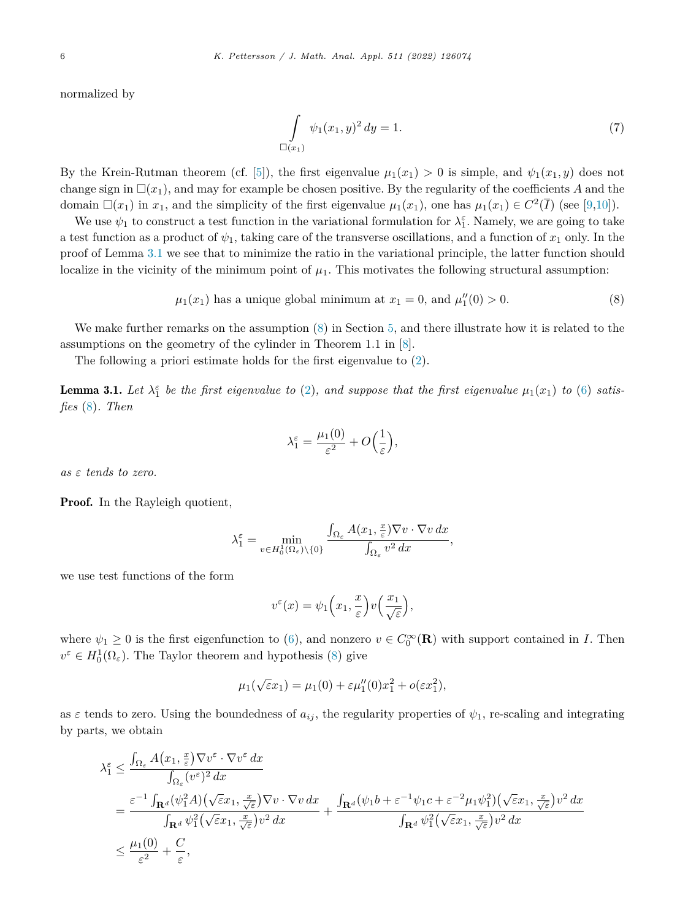<span id="page-6-0"></span>normalized by

$$
\int_{\Box(x_1)} \psi_1(x_1, y)^2 dy = 1.
$$
\n(7)

By the Krein-Rutman theorem (cf. [[5\]](#page-31-0)), the first eigenvalue  $\mu_1(x_1) > 0$  is simple, and  $\psi_1(x_1, y)$  does not change sign in  $\Box(x_1)$ , and may for example be chosen positive. By the regularity of the coefficients *A* and the domain  $\Box(x_1)$  in  $x_1$ , and the simplicity of the first eigenvalue  $\mu_1(x_1)$ , one has  $\mu_1(x_1) \in C^2(\overline{I})$  (see [\[9](#page-31-0),[10\]](#page-31-0)).

We use  $\psi_1$  to construct a test function in the variational formulation for  $\lambda_1^{\varepsilon}$ . Namely, we are going to take a test function as a product of  $\psi_1$ , taking care of the transverse oscillations, and a function of  $x_1$  only. In the proof of Lemma 3.1 we see that to minimize the ratio in the variational principle, the latter function should localize in the vicinity of the minimum point of  $\mu_1$ . This motivates the following structural assumption:

$$
\mu_1(x_1)
$$
 has a unique global minimum at  $x_1 = 0$ , and  $\mu_1''(0) > 0$ . (8)

We make further remarks on the assumption  $(8)$  in Section [5,](#page-26-0) and there illustrate how it is related to the assumptions on the geometry of the cylinder in Theorem 1.1 in [[8\]](#page-31-0).

The following a priori estimate holds for the first eigenvalue to ([2\)](#page-4-0).

**Lemma 3.1.** Let  $\lambda_1^{\varepsilon}$  be the first eigenvalue to [\(2](#page-4-0)), and suppose that the first eigenvalue  $\mu_1(x_1)$  to [\(6](#page-5-0)) satis*fies* (8)*. Then*

$$
\lambda_1^{\varepsilon} = \frac{\mu_1(0)}{\varepsilon^2} + O\Big(\frac{1}{\varepsilon}\Big),
$$

*as ε tends to zero.*

Proof. In the Rayleigh quotient,

$$
\lambda_1^\varepsilon=\min_{v\in H_0^1(\Omega_\varepsilon)\backslash\{0\}}\frac{\int_{\Omega_\varepsilon} A(x_1,\frac{x}{\varepsilon})\nabla v\cdot \nabla v\,dx}{\int_{\Omega_\varepsilon} v^2\,dx},
$$

we use test functions of the form

$$
v^{\varepsilon}(x) = \psi_1\Big(x_1, \frac{x}{\varepsilon}\Big)v\Big(\frac{x_1}{\sqrt{\varepsilon}}\Big),\,
$$

where  $\psi_1 \geq 0$  is the first eigenfunction to [\(6\)](#page-5-0), and nonzero  $v \in C_0^{\infty}(\mathbf{R})$  with support contained in *I*. Then  $v^{\varepsilon} \in H_0^1(\Omega_{\varepsilon})$ . The Taylor theorem and hypothesis (8) give

$$
\mu_1(\sqrt{\varepsilon}x_1) = \mu_1(0) + \varepsilon \mu_1''(0)x_1^2 + o(\varepsilon x_1^2),
$$

as  $\varepsilon$  tends to zero. Using the boundedness of  $a_{ij}$ , the regularity properties of  $\psi_1$ , re-scaling and integrating by parts, we obtain

$$
\lambda_1^{\varepsilon} \leq \frac{\int_{\Omega_{\varepsilon}} A(x_1, \frac{x}{\varepsilon}) \nabla v^{\varepsilon} \cdot \nabla v^{\varepsilon} dx}{\int_{\Omega_{\varepsilon}} (v^{\varepsilon})^2 dx}
$$
\n
$$
= \frac{\varepsilon^{-1} \int_{\mathbf{R}^d} (\psi_1^2 A) (\sqrt{\varepsilon} x_1, \frac{x}{\sqrt{\varepsilon}}) \nabla v \cdot \nabla v dx}{\int_{\mathbf{R}^d} \psi_1^2 (\sqrt{\varepsilon} x_1, \frac{x}{\sqrt{\varepsilon}}) v^2 dx} + \frac{\int_{\mathbf{R}^d} (\psi_1 b + \varepsilon^{-1} \psi_1 c + \varepsilon^{-2} \mu_1 \psi_1^2) (\sqrt{\varepsilon} x_1, \frac{x}{\sqrt{\varepsilon}}) v^2 dx}{\int_{\mathbf{R}^d} \psi_1^2 (\sqrt{\varepsilon} x_1, \frac{x}{\sqrt{\varepsilon}}) v^2 dx}
$$
\n
$$
\leq \frac{\mu_1(0)}{\varepsilon^2} + \frac{C}{\varepsilon},
$$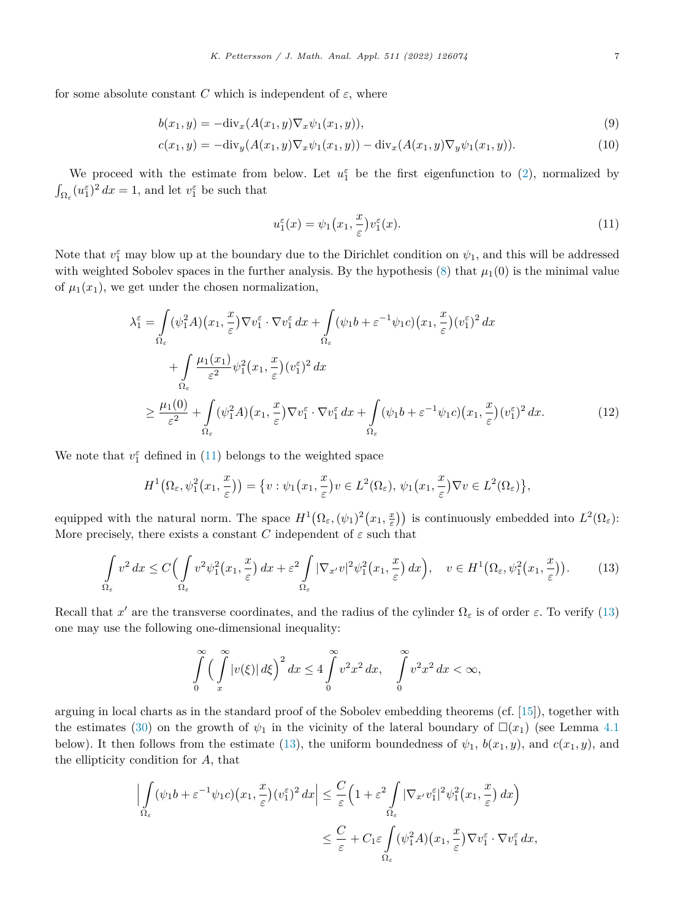<span id="page-7-0"></span>for some absolute constant *C* which is independent of  $\varepsilon$ , where

$$
b(x_1, y) = -\text{div}_x(A(x_1, y)\nabla_x \psi_1(x_1, y)),
$$
\n(9)

$$
c(x_1, y) = -\text{div}_y(A(x_1, y)\nabla_x \psi_1(x_1, y)) - \text{div}_x(A(x_1, y)\nabla_y \psi_1(x_1, y)).
$$
\n(10)

We proceed with the estimate from below. Let  $u_1^{\varepsilon}$  be the first eigenfunction to ([2\)](#page-4-0), normalized by  $\int_{\Omega_{\varepsilon}} (u_1^{\varepsilon})^2 dx = 1$ , and let  $v_1^{\varepsilon}$  be such that

$$
u_1^{\varepsilon}(x) = \psi_1\big(x_1, \frac{x}{\varepsilon}\big)v_1^{\varepsilon}(x). \tag{11}
$$

Note that  $v_1^{\varepsilon}$  may blow up at the boundary due to the Dirichlet condition on  $\psi_1$ , and this will be addressed with weighted Sobolev spaces in the further analysis. By the hypothesis  $(8)$  $(8)$  that  $\mu_1(0)$  is the minimal value of  $\mu_1(x_1)$ , we get under the chosen normalization,

$$
\lambda_1^{\varepsilon} = \int_{\Omega_{\varepsilon}} (\psi_1^2 A)(x_1, \frac{x}{\varepsilon}) \nabla v_1^{\varepsilon} \cdot \nabla v_1^{\varepsilon} dx + \int_{\Omega_{\varepsilon}} (\psi_1 b + \varepsilon^{-1} \psi_1 c)(x_1, \frac{x}{\varepsilon}) (v_1^{\varepsilon})^2 dx \n+ \int_{\Omega_{\varepsilon}} \frac{\mu_1(x_1)}{\varepsilon^2} \psi_1^2(x_1, \frac{x}{\varepsilon}) (v_1^{\varepsilon})^2 dx \n\geq \frac{\mu_1(0)}{\varepsilon^2} + \int_{\Omega_{\varepsilon}} (\psi_1^2 A)(x_1, \frac{x}{\varepsilon}) \nabla v_1^{\varepsilon} \cdot \nabla v_1^{\varepsilon} dx + \int_{\Omega_{\varepsilon}} (\psi_1 b + \varepsilon^{-1} \psi_1 c)(x_1, \frac{x}{\varepsilon}) (v_1^{\varepsilon})^2 dx.
$$
\n(12)

We note that  $v_1^{\varepsilon}$  defined in (11) belongs to the weighted space

$$
H^1(\Omega_{\varepsilon},\psi_1^2(x_1,\frac{x}{\varepsilon})) = \{v : \psi_1(x_1,\frac{x}{\varepsilon})v \in L^2(\Omega_{\varepsilon}), \psi_1(x_1,\frac{x}{\varepsilon})\nabla v \in L^2(\Omega_{\varepsilon})\},\
$$

equipped with the natural norm. The space  $H^1(\Omega_\varepsilon, (\psi_1)^2(x_1, \frac{x}{\varepsilon}))$  is continuously embedded into  $L^2(\Omega_\varepsilon)$ : More precisely, there exists a constant *C* independent of  $\varepsilon$  such that

$$
\int_{\Omega_{\varepsilon}} v^2 dx \le C \Big( \int_{\Omega_{\varepsilon}} v^2 \psi_1^2(x_1, \frac{x}{\varepsilon}) dx + \varepsilon^2 \int_{\Omega_{\varepsilon}} |\nabla_{x'} v|^2 \psi_1^2(x_1, \frac{x}{\varepsilon}) dx \Big), \quad v \in H^1(\Omega_{\varepsilon}, \psi_1^2(x_1, \frac{x}{\varepsilon})) .
$$
 (13)

Recall that *x'* are the transverse coordinates, and the radius of the cylinder  $\Omega_{\varepsilon}$  is of order  $\varepsilon$ . To verify (13) one may use the following one-dimensional inequality:

$$
\int_{0}^{\infty} \left(\int_{x}^{\infty} |v(\xi)| d\xi\right)^2 dx \le 4 \int_{0}^{\infty} v^2 x^2 dx, \quad \int_{0}^{\infty} v^2 x^2 dx < \infty,
$$

arguing in local charts as in the standard proof of the Sobolev embedding theorems (cf. [\[15](#page-31-0)]), together with the estimates [\(30\)](#page-11-0) on the growth of  $\psi_1$  in the vicinity of the lateral boundary of  $\Box(x_1)$  (see Lemma [4.1](#page-11-0)) below). It then follows from the estimate (13), the uniform boundedness of  $\psi_1$ ,  $b(x_1, y)$ , and  $c(x_1, y)$ , and the ellipticity condition for *A*, that

$$
\left| \int_{\Omega_{\varepsilon}} (\psi_1 b + \varepsilon^{-1} \psi_1 c) (x_1, \frac{x}{\varepsilon}) (v_1^{\varepsilon})^2 dx \right| \leq \frac{C}{\varepsilon} \left( 1 + \varepsilon^2 \int_{\Omega_{\varepsilon}} |\nabla_{x'} v_1^{\varepsilon}|^2 \psi_1^2 (x_1, \frac{x}{\varepsilon}) dx \right)
$$
  

$$
\leq \frac{C}{\varepsilon} + C_1 \varepsilon \int_{\Omega_{\varepsilon}} (\psi_1^2 A) (x_1, \frac{x}{\varepsilon}) \nabla v_1^{\varepsilon} \cdot \nabla v_1^{\varepsilon} dx,
$$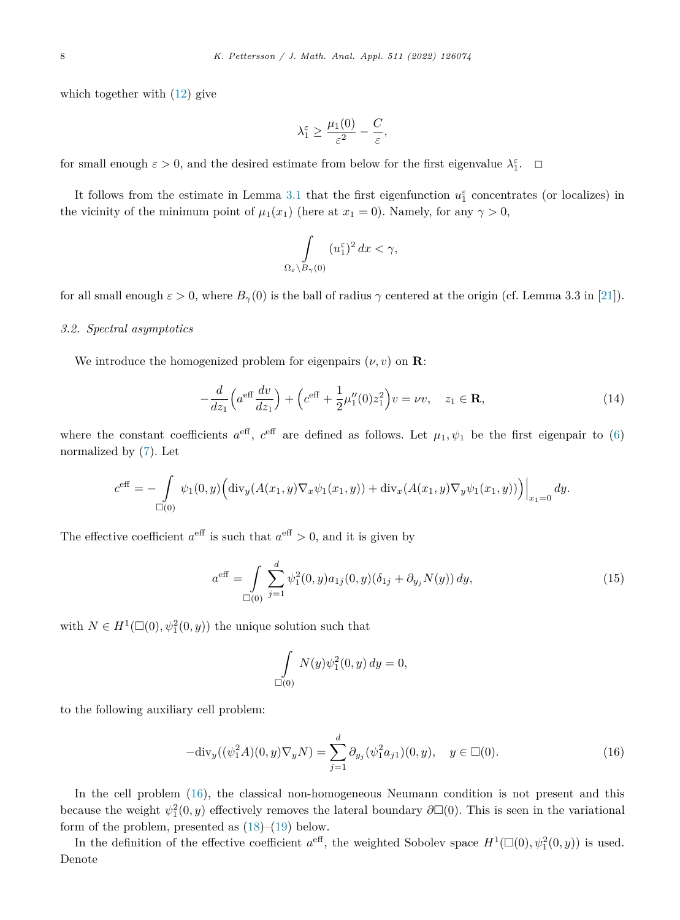<span id="page-8-0"></span>which together with ([12\)](#page-7-0) give

$$
\lambda_1^{\varepsilon} \ge \frac{\mu_1(0)}{\varepsilon^2} - \frac{C}{\varepsilon},
$$

for small enough  $\varepsilon > 0$ , and the desired estimate from below for the first eigenvalue  $\lambda_1^{\varepsilon}$ .  $\Box$ 

It follows from the estimate in Lemma [3.1](#page-6-0) that the first eigenfunction  $u_1^{\varepsilon}$  concentrates (or localizes) in the vicinity of the minimum point of  $\mu_1(x_1)$  (here at  $x_1 = 0$ ). Namely, for any  $\gamma > 0$ ,

$$
\int\limits_{\Omega_{\varepsilon}\setminus B_{\gamma}(0)} (u_1^{\varepsilon})^2 dx < \gamma,
$$

for all small enough  $\varepsilon > 0$ , where  $B_\gamma(0)$  is the ball of radius  $\gamma$  centered at the origin (cf. Lemma 3.3 in [[21\]](#page-31-0)).

### *3.2. Spectral asymptotics*

We introduce the homogenized problem for eigenpairs  $(\nu, v)$  on **R**:

$$
-\frac{d}{dz_1}\left(a^{\text{eff}}\frac{dv}{dz_1}\right) + \left(c^{\text{eff}} + \frac{1}{2}\mu_1''(0)z_1^2\right)v = \nu v, \quad z_1 \in \mathbf{R},\tag{14}
$$

where the constant coefficients  $a^{\text{eff}}$ ,  $c^{\text{eff}}$  are defined as follows. Let  $\mu_1, \psi_1$  be the first eigenpair to [\(6\)](#page-5-0) normalized by [\(7](#page-6-0)). Let

$$
c^{\text{eff}} = -\int_{\Box(0)} \psi_1(0, y) \Big( \text{div}_y(A(x_1, y) \nabla_x \psi_1(x_1, y)) + \text{div}_x(A(x_1, y) \nabla_y \psi_1(x_1, y)) \Big) \Big|_{x_1 = 0} dy.
$$

The effective coefficient  $a^{\text{eff}}$  is such that  $a^{\text{eff}} > 0$ , and it is given by

$$
a^{\text{eff}} = \int\limits_{\square(0)} \sum_{j=1}^{d} \psi_1^2(0, y) a_{1j}(0, y) (\delta_{1j} + \partial_{y_j} N(y)) dy,
$$
\n(15)

with  $N \in H^1(\square(0), \psi_1^2(0, y))$  the unique solution such that

$$
\int\limits_{\square(0)} N(y)\psi_1^2(0,y) dy = 0,
$$

to the following auxiliary cell problem:

$$
-\text{div}_y((\psi_1^2 A)(0, y)\nabla_y N) = \sum_{j=1}^d \partial_{y_j}(\psi_1^2 a_{j1})(0, y), \quad y \in \Box(0).
$$
 (16)

In the cell problem (16), the classical non-homogeneous Neumann condition is not present and this because the weight  $\psi_1^2(0, y)$  effectively removes the lateral boundary  $\partial \Box(0)$ . This is seen in the variational form of the problem, presented as [\(18](#page-9-0))–([19\)](#page-9-0) below.

In the definition of the effective coefficient  $a^{\text{eff}}$ , the weighted Sobolev space  $H^1(\Box(0), \psi_1^2(0, y))$  is used. Denote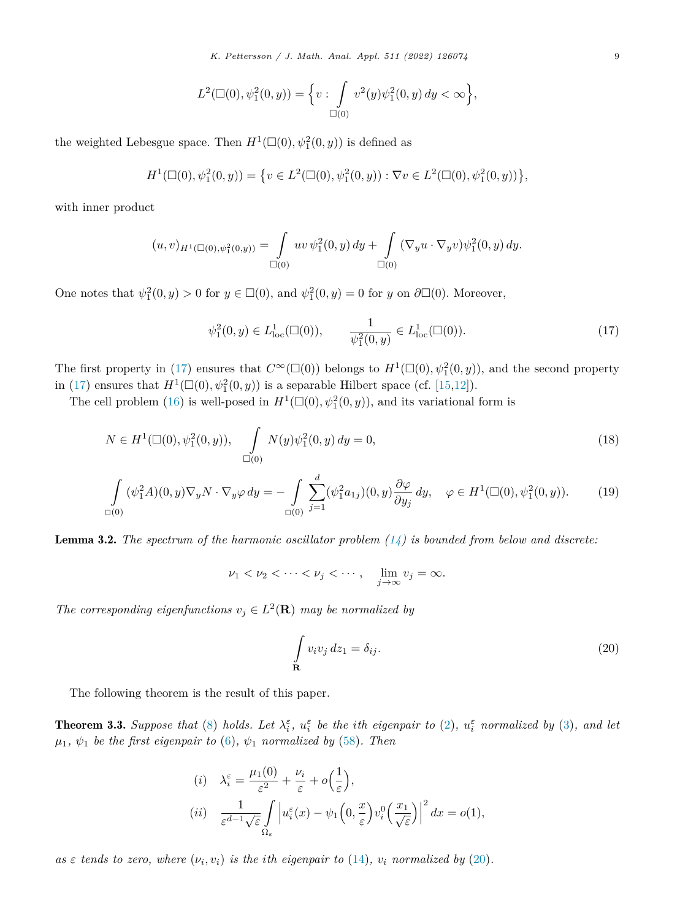$$
L^2(\Box(0), \psi_1^2(0, y)) = \Big\{ v : \int\limits_{\Box(0)} v^2(y) \psi_1^2(0, y) dy < \infty \Big\},\,
$$

<span id="page-9-0"></span>the weighted Lebesgue space. Then  $H^1(\Box(0), \psi_1^2(0, y))$  is defined as

$$
H^1(\Box(0), \psi_1^2(0, y)) = \{ v \in L^2(\Box(0), \psi_1^2(0, y)) : \nabla v \in L^2(\Box(0), \psi_1^2(0, y)) \},
$$

with inner product

$$
(u,v)_{H^1(\Box(0),\psi_1^2(0,y))} = \int_{\Box(0)} uv \, \psi_1^2(0,y) \, dy + \int_{\Box(0)} (\nabla_y u \cdot \nabla_y v) \psi_1^2(0,y) \, dy.
$$

One notes that  $\psi_1^2(0, y) > 0$  for  $y \in \Box(0)$ , and  $\psi_1^2(0, y) = 0$  for *y* on  $\partial \Box(0)$ . Moreover,

$$
\psi_1^2(0, y) \in L^1_{loc}(\mathbb{Z}(0)), \qquad \frac{1}{\psi_1^2(0, y)} \in L^1_{loc}(\mathbb{Z}(0)).
$$
\n(17)

The first property in (17) ensures that  $C^{\infty}(\Box(0))$  belongs to  $H^1(\Box(0), \psi_1^2(0, y))$ , and the second property in (17) ensures that  $H^1(\Box(0), \psi_1^2(0, y))$  is a separable Hilbert space (cf. [[15,12\]](#page-31-0)).

The cell problem ([16\)](#page-8-0) is well-posed in  $H^1(\Box(0), \psi_1^2(0, y))$ , and its variational form is

$$
N \in H^{1}(\Box(0), \psi_1^2(0, y)), \quad \int_{\Box(0)} N(y)\psi_1^2(0, y) dy = 0,
$$
\n(18)

$$
\int_{\Box(0)} (\psi_1^2 A)(0, y) \nabla_y N \cdot \nabla_y \varphi \, dy = -\int_{\Box(0)} \sum_{j=1}^d (\psi_1^2 a_{1j})(0, y) \frac{\partial \varphi}{\partial y_j} \, dy, \quad \varphi \in H^1(\Box(0), \psi_1^2(0, y)). \tag{19}
$$

Lemma 3.2. *The spectrum of the harmonic oscillator problem ([14\)](#page-8-0) is bounded from below and discrete:*

 $\nu_1 < \nu_2 < \cdots < \nu_j < \cdots$ ,  $\lim_{j \to \infty} v_j = \infty$ .

*The corresponding eigenfunctions*  $v_j \in L^2(\mathbf{R})$  *may be normalized by* 

$$
\int_{\mathbf{R}} v_i v_j dz_1 = \delta_{ij}.
$$
\n(20)

The following theorem is the result of this paper.

**Theorem 3.3.** Suppose that [\(8](#page-6-0)) holds. Let  $\lambda_i^{\varepsilon}$ ,  $u_i^{\varepsilon}$  be the ith eigenpair to [\(2\)](#page-4-0),  $u_i^{\varepsilon}$  normalized by ([3\)](#page-4-0), and let  $\mu_1, \psi_1$  *be the first eigenpair to* [\(6](#page-5-0)),  $\psi_1$  *normalized by* [\(58](#page-27-0))*. Then* 

(i) 
$$
\lambda_i^{\varepsilon} = \frac{\mu_1(0)}{\varepsilon^2} + \frac{\nu_i}{\varepsilon} + o\left(\frac{1}{\varepsilon}\right),
$$
  
(ii) 
$$
\frac{1}{\varepsilon^{d-1}\sqrt{\varepsilon}} \int_{\Omega_{\varepsilon}} \left| u_i^{\varepsilon}(x) - \psi_1\left(0, \frac{x}{\varepsilon}\right) v_i^0\left(\frac{x_1}{\sqrt{\varepsilon}}\right) \right|^2 dx = o(1),
$$

as  $\varepsilon$  tends to zero, where  $(\nu_i, \nu_i)$  is the ith eigenpair to ([14\)](#page-8-0),  $\nu_i$  normalized by (20).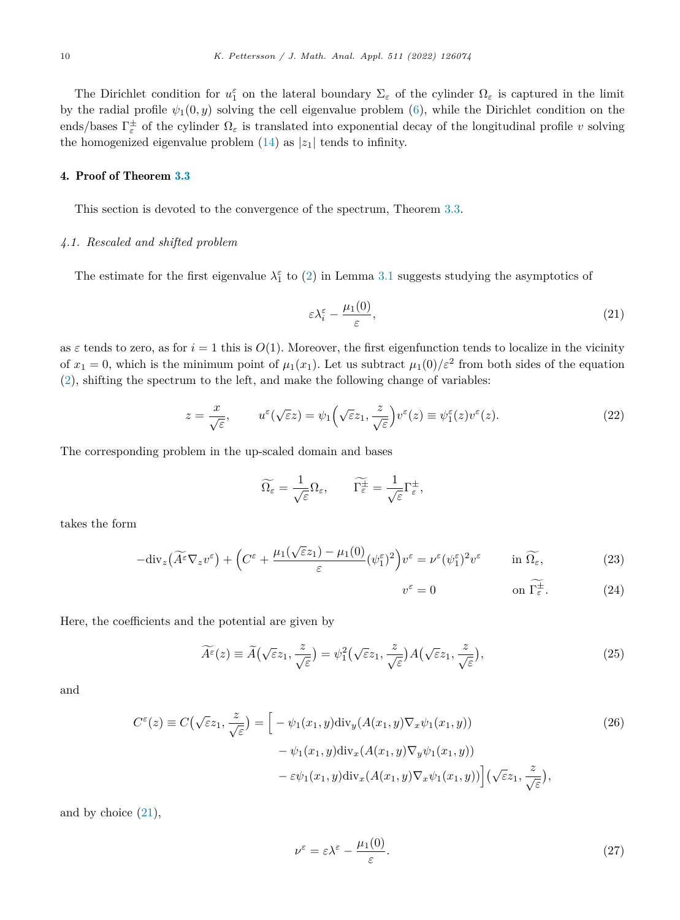<span id="page-10-0"></span>The Dirichlet condition for  $u_1^{\varepsilon}$  on the lateral boundary  $\Sigma_{\varepsilon}$  of the cylinder  $\Omega_{\varepsilon}$  is captured in the limit by the radial profile  $\psi_1(0, y)$  solving the cell eigenvalue problem ([6\)](#page-5-0), while the Dirichlet condition on the ends/bases  $\Gamma_{\varepsilon}^{\pm}$  of the cylinder  $\Omega_{\varepsilon}$  is translated into exponential decay of the longitudinal profile *v* solving the homogenized eigenvalue problem  $(14)$  $(14)$  as  $|z_1|$  tends to infinity.

### 4. Proof of Theorem [3.3](#page-9-0)

This section is devoted to the convergence of the spectrum, Theorem [3.3](#page-9-0).

### *4.1. Rescaled and shifted problem*

The estimate for the first eigenvalue  $\lambda_1^{\varepsilon}$  to [\(2](#page-4-0)) in Lemma [3.1](#page-6-0) suggests studying the asymptotics of

$$
\varepsilon \lambda_i^{\varepsilon} - \frac{\mu_1(0)}{\varepsilon},\tag{21}
$$

as  $\varepsilon$  tends to zero, as for  $i = 1$  this is  $O(1)$ . Moreover, the first eigenfunction tends to localize in the vicinity of  $x_1 = 0$ , which is the minimum point of  $\mu_1(x_1)$ . Let us subtract  $\mu_1(0)/\varepsilon^2$  from both sides of the equation [\(2](#page-4-0)), shifting the spectrum to the left, and make the following change of variables:

$$
z = \frac{x}{\sqrt{\varepsilon}}, \qquad u^{\varepsilon}(\sqrt{\varepsilon}z) = \psi_1\left(\sqrt{\varepsilon}z_1, \frac{z}{\sqrt{\varepsilon}}\right)v^{\varepsilon}(z) \equiv \psi_1^{\varepsilon}(z)v^{\varepsilon}(z). \tag{22}
$$

The corresponding problem in the up-scaled domain and bases

$$
\widetilde{\Omega_{\varepsilon}} = \frac{1}{\sqrt{\varepsilon}} \Omega_{\varepsilon}, \qquad \widetilde{\Gamma_{\varepsilon}^{\pm}} = \frac{1}{\sqrt{\varepsilon}} \Gamma_{\varepsilon}^{\pm},
$$

takes the form

$$
-\text{div}_z \left(\widetilde{A^{\varepsilon}} \nabla_z v^{\varepsilon}\right) + \left(C^{\varepsilon} + \frac{\mu_1(\sqrt{\varepsilon}z_1) - \mu_1(0)}{\varepsilon}(\psi_1^{\varepsilon})^2\right) v^{\varepsilon} = \nu^{\varepsilon}(\psi_1^{\varepsilon})^2 v^{\varepsilon} \qquad \text{in } \widetilde{\Omega_{\varepsilon}},\tag{23}
$$

$$
v^{\varepsilon} = 0 \qquad \text{on } \Gamma_{\varepsilon}^{\pm}.
$$
 (24)

Here, the coefficients and the potential are given by

$$
\widetilde{A}^{\varepsilon}(z) \equiv \widetilde{A}(\sqrt{\varepsilon}z_1, \frac{z}{\sqrt{\varepsilon}}) = \psi_1^2(\sqrt{\varepsilon}z_1, \frac{z}{\sqrt{\varepsilon}})A(\sqrt{\varepsilon}z_1, \frac{z}{\sqrt{\varepsilon}}),\tag{25}
$$

and

$$
C^{\varepsilon}(z) \equiv C(\sqrt{\varepsilon}z_1, \frac{z}{\sqrt{\varepsilon}}) = \left[ -\psi_1(x_1, y) \operatorname{div}_y(A(x_1, y) \nabla_x \psi_1(x_1, y)) -\psi_1(x_1, y) \operatorname{div}_x(A(x_1, y) \nabla_y \psi_1(x_1, y)) -\varepsilon \psi_1(x_1, y) \operatorname{div}_x(A(x_1, y) \nabla_x \psi_1(x_1, y)) \right] (\sqrt{\varepsilon}z_1, \frac{z}{\sqrt{\varepsilon}}),
$$
\n(26)

and by choice  $(21)$ ,

$$
\nu^{\varepsilon} = \varepsilon \lambda^{\varepsilon} - \frac{\mu_1(0)}{\varepsilon}.
$$
\n(27)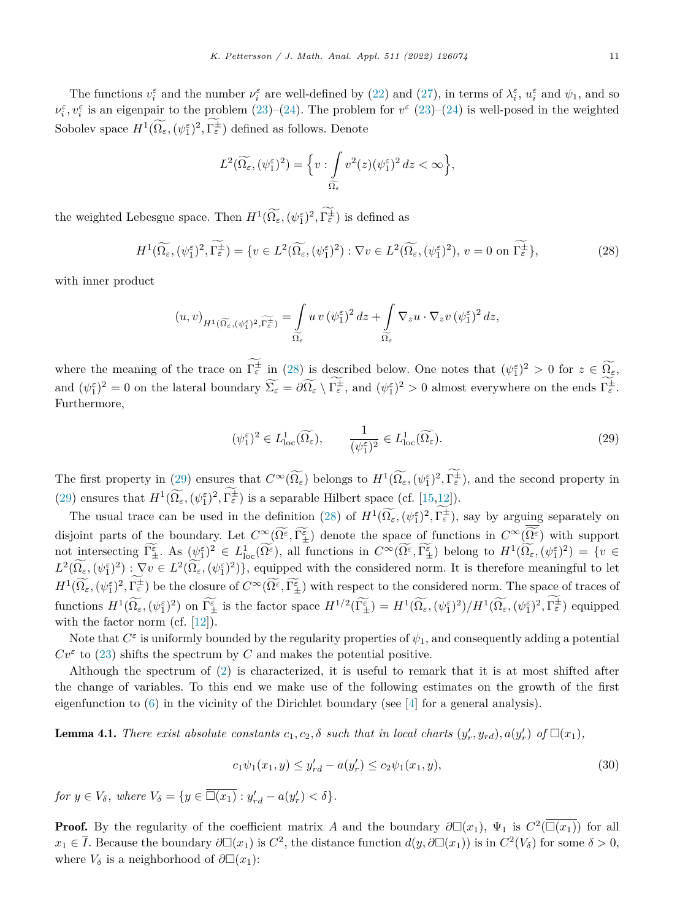<span id="page-11-0"></span>The functions  $v_i^{\varepsilon}$  and the number  $\nu_i^{\varepsilon}$  are well-defined by [\(22](#page-10-0)) and [\(27](#page-10-0)), in terms of  $\lambda_i^{\varepsilon}$ ,  $u_i^{\varepsilon}$  and  $\psi_1$ , and so  $\nu_i^{\varepsilon}$ ,  $v_i^{\varepsilon}$  is an eigenpair to the problem [\(23](#page-10-0))–([24\)](#page-10-0). The problem for  $v^{\varepsilon}$  (23)–[\(24](#page-10-0)) is well-posed in the weighted Sobolev space  $H^1(\Omega_\varepsilon, (\psi_1^{\varepsilon})^2, \Gamma_{\varepsilon}^{\pm})$  defined as follows. Denote

$$
L^2(\widetilde{\Omega_{\varepsilon}}, (\psi_1^{\varepsilon})^2) = \Big\{ v : \int_{\widetilde{\Omega_{\varepsilon}}} v^2(z) (\psi_1^{\varepsilon})^2 dz < \infty \Big\},\,
$$

the weighted Lebesgue space. Then  $H^1(\Omega_\varepsilon, (\psi_1^\varepsilon)^2, \Gamma_\varepsilon^{\pm})$  is defined as

$$
H^{1}(\widetilde{\Omega_{\varepsilon}},(\psi_{1}^{\varepsilon})^{2},\widetilde{\Gamma_{\varepsilon}}^{+}) = \{v \in L^{2}(\widetilde{\Omega_{\varepsilon}},(\psi_{1}^{\varepsilon})^{2}) : \nabla v \in L^{2}(\widetilde{\Omega_{\varepsilon}},(\psi_{1}^{\varepsilon})^{2}), v = 0 \text{ on } \widetilde{\Gamma_{\varepsilon}}^{+}\},\tag{28}
$$

with inner product

$$
(u,v)_{H^1(\widetilde{\Omega_{\varepsilon}}, (\psi_1^{\varepsilon})^2,\widetilde{\Gamma_{\varepsilon}^{\pm}})}=\int\limits_{\widetilde{\Omega_{\varepsilon}}} u\,v\,(\psi_1^{\varepsilon})^2\,dz+\int\limits_{\widetilde{\Omega_{\varepsilon}}}\nabla_z u\cdot \nabla_z v\,(\psi_1^{\varepsilon})^2\,dz,
$$

where the meaning of the trace on  $\Gamma_{\varepsilon}^{\pm}$  in (28) is described below. One notes that  $(\psi_1^{\varepsilon})^2 > 0$  for  $z \in \Omega_{\varepsilon}$ , and  $(\psi_1^{\varepsilon})^2 = 0$  on the lateral boundary  $\Sigma_{\varepsilon} = \partial \Omega_{\varepsilon} \setminus \Gamma_{\varepsilon}^{\pm}$ , and  $(\psi_1^{\varepsilon})^2 > 0$  almost everywhere on the ends  $\Gamma_{\varepsilon}^{\pm}$ . Furthermore,

$$
(\psi_1^{\varepsilon})^2 \in L^1_{\text{loc}}(\widetilde{\Omega_{\varepsilon}}), \qquad \frac{1}{(\psi_1^{\varepsilon})^2} \in L^1_{\text{loc}}(\widetilde{\Omega_{\varepsilon}}). \tag{29}
$$

The first property in (29) ensures that  $C^{\infty}(\Omega_{\varepsilon})$  belongs to  $H^{1}(\Omega_{\varepsilon}, (\psi_{1}^{\varepsilon})^{2}, \Gamma_{\varepsilon}^{\pm})$ , and the second property in (29) ensures that  $H^1(\Omega_{\varepsilon}, (\psi_1^{\varepsilon})^2, \Gamma_{\varepsilon}^{\pm})$  is a separable Hilbert space (cf. [\[15](#page-31-0),[12\]](#page-31-0)).

The usual trace can be used in the definition (28) of  $H^1(\Omega_\varepsilon, (\psi_1^\varepsilon)^2, \Gamma_\varepsilon^\pm)$ , say by arguing separately on disjoint parts of the boundary. Let  $C^{\infty}(\Omega^{\varepsilon},\Gamma^{\varepsilon}_{\pm})$  denote the space of functions in  $C^{\infty}(\Omega^{\varepsilon})$  with support not intersecting  $\Gamma^{\varepsilon}_{\pm}$ . As  $(\psi^{\varepsilon}_{1})^{2} \in L^{1}_{loc}(\Omega^{\varepsilon})$ , all functions in  $C^{\infty}(\Omega^{\varepsilon}, \Gamma^{\varepsilon}_{\pm})$  belong to  $H^{1}(\Omega_{\varepsilon}, (\psi^{\varepsilon}_{1})^{2}) = \{v \in \Omega^{\varepsilon}_{loc}(\Omega^{\varepsilon})\}$  $L^2(\Omega_{\varepsilon},(\psi_1^{\varepsilon})^2): \nabla v \in L^2(\Omega_{\varepsilon},(\psi_1^{\varepsilon})^2)$ , equipped with the considered norm. It is therefore meaningful to let  $H^1(\Omega_{\varepsilon}, (\psi_1^{\varepsilon})^2, \Gamma_{\varepsilon}^{\pm})$  be the closure of  $C^{\infty}(\Omega_{\varepsilon}, \Gamma_{\pm}^{\varepsilon})$  with respect to the considered norm. The space of traces of functions  $H^1(\Omega_{\varepsilon}, (\psi_1^{\varepsilon})^2)$  on  $\Gamma_{\pm}^{\varepsilon}$  is the factor space  $H^{1/2}(\Gamma_{\pm}^{\varepsilon}) = H^1(\Omega_{\varepsilon}, (\psi_1^{\varepsilon})^2)/H^1(\Omega_{\varepsilon}, (\psi_1^{\varepsilon})^2, \Gamma_{\varepsilon}^{\pm})$  equipped with the factor norm (cf. [[12\]](#page-31-0)).

Note that  $C^{\varepsilon}$  is uniformly bounded by the regularity properties of  $\psi_1$ , and consequently adding a potential  $Cv^{\varepsilon}$  to ([23\)](#page-10-0) shifts the spectrum by *C* and makes the potential positive.

Although the spectrum of ([2\)](#page-4-0) is characterized, it is useful to remark that it is at most shifted after the change of variables. To this end we make use of the following estimates on the growth of the first eigenfunction to [\(6](#page-5-0)) in the vicinity of the Dirichlet boundary (see [\[4](#page-31-0)] for a general analysis).

**Lemma 4.1.** There exist absolute constants  $c_1, c_2, \delta$  such that in local charts  $(y'_r, y_{rd}), a(y'_r)$  of  $\Box(x_1)$ ,

$$
c_1\psi_1(x_1, y) \le y'_{rd} - a(y'_r) \le c_2\psi_1(x_1, y),\tag{30}
$$

*for*  $y \in V_{\delta}$ *, where*  $V_{\delta} = \{ y \in \Box(x_1) : y'_{rd} - a(y'_r) < \delta \}.$ 

**Proof.** By the regularity of the coefficient matrix *A* and the boundary  $\partial \Box(x_1)$ ,  $\Psi_1$  is  $C^2(\overline{\Box(x_1)})$  for all *x*<sub>1</sub> ∈ *I*. Because the boundary  $∂□(x_1)$  is  $C^2$ , the distance function  $d(y, ∂□(x_1))$  is in  $C^2(V_δ)$  for some  $δ > 0$ , where  $V_{\delta}$  is a neighborhood of  $\partial \Box(x_1)$ :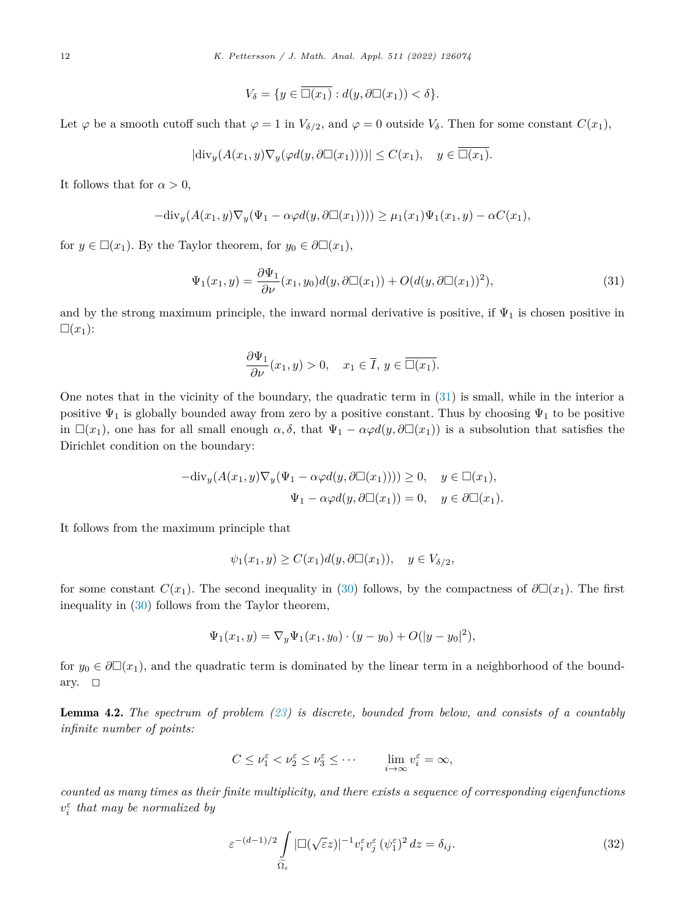$$
V_{\delta} = \{ y \in \overline{\Box(x_1)} : d(y, \partial \Box(x_1)) < \delta \}.
$$

<span id="page-12-0"></span>Let  $\varphi$  be a smooth cutoff such that  $\varphi = 1$  in  $V_{\delta/2}$ , and  $\varphi = 0$  outside  $V_{\delta}$ . Then for some constant  $C(x_1)$ ,

$$
|\text{div}_y(A(x_1, y)\nabla_y(\varphi d(y, \partial \Box(x_1))))| \le C(x_1), \quad y \in \overline{\Box(x_1)}.
$$

It follows that for  $\alpha > 0$ ,

$$
-\text{div}_y(A(x_1,y)\nabla_y(\Psi_1-\alpha\varphi d(y,\partial \Box(x_1)))) \geq \mu_1(x_1)\Psi_1(x_1,y) - \alpha C(x_1),
$$

for  $y \in \Box(x_1)$ . By the Taylor theorem, for  $y_0 \in \partial \Box(x_1)$ ,

$$
\Psi_1(x_1, y) = \frac{\partial \Psi_1}{\partial \nu}(x_1, y_0) d(y, \partial \Box(x_1)) + O(d(y, \partial \Box(x_1))^2), \tag{31}
$$

and by the strong maximum principle, the inward normal derivative is positive, if  $\Psi_1$  is chosen positive in  $\square(x_1)$ :

$$
\frac{\partial \Psi_1}{\partial \nu}(x_1, y) > 0, \quad x_1 \in \overline{I}, \ y \in \overline{\Box(x_1)}.
$$

One notes that in the vicinity of the boundary, the quadratic term in (31) is small, while in the interior a positive  $\Psi_1$  is globally bounded away from zero by a positive constant. Thus by choosing  $\Psi_1$  to be positive in  $\Box(x_1)$ , one has for all small enough  $\alpha, \delta$ , that  $\Psi_1 - \alpha \varphi d(y, \partial \Box(x_1))$  is a subsolution that satisfies the Dirichlet condition on the boundary:

$$
-{\rm div}_y(A(x_1, y)\nabla_y(\Psi_1 - \alpha \varphi d(y, \partial \Box(x_1)))) \ge 0, \quad y \in \Box(x_1),
$$
  

$$
\Psi_1 - \alpha \varphi d(y, \partial \Box(x_1)) = 0, \quad y \in \partial \Box(x_1).
$$

It follows from the maximum principle that

$$
\psi_1(x_1, y) \ge C(x_1) d(y, \partial \Box(x_1)), \quad y \in V_{\delta/2},
$$

for some constant  $C(x_1)$ . The second inequality in [\(30\)](#page-11-0) follows, by the compactness of  $\partial \Box(x_1)$ . The first inequality in [\(30](#page-11-0)) follows from the Taylor theorem,

$$
\Psi_1(x_1, y) = \nabla_y \Psi_1(x_1, y_0) \cdot (y - y_0) + O(|y - y_0|^2),
$$

for  $y_0 \in \partial \Box(x_1)$ , and the quadratic term is dominated by the linear term in a neighborhood of the boundary.  $\Box$ 

Lemma 4.2. *The spectrum of problem ([23](#page-10-0)) is discrete, bounded from below, and consists of a countably infinite number of points:*

$$
C \leq \nu_1^{\varepsilon} < \nu_2^{\varepsilon} \leq \nu_3^{\varepsilon} \leq \cdots \qquad \lim_{i \to \infty} v_i^{\varepsilon} = \infty,
$$

*counted as many times as their finite multiplicity, and there exists a sequence of corresponding eigenfunctions vε <sup>i</sup> that may be normalized by*

$$
\varepsilon^{-(d-1)/2} \int\limits_{\widetilde{\Omega_{\varepsilon}}} |\Box(\sqrt{\varepsilon}z)|^{-1} v_i^{\varepsilon} v_j^{\varepsilon} (\psi_1^{\varepsilon})^2 dz = \delta_{ij}.
$$
\n(32)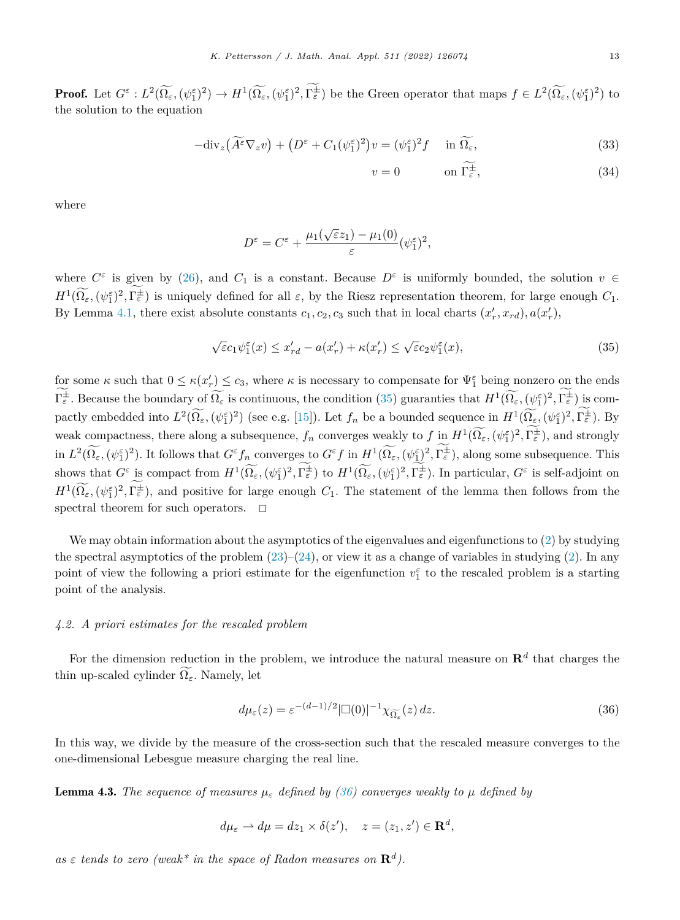<span id="page-13-0"></span>**Proof.** Let  $G^{\varepsilon}: L^2(\Omega_{\varepsilon}, (\psi_1^{\varepsilon})^2) \to H^1(\Omega_{\varepsilon}, (\psi_1^{\varepsilon})^2, \Gamma_{\varepsilon}^{\pm})$  be the Green operator that maps  $f \in L^2(\Omega_{\varepsilon}, (\psi_1^{\varepsilon})^2)$  to the solution to the equation

$$
-\text{div}_z(\widetilde{A^\varepsilon}\nabla_z v) + (D^\varepsilon + C_1(\psi_1^\varepsilon)^2)v = (\psi_1^\varepsilon)^2 f \quad \text{in } \widetilde{\Omega_\varepsilon},\tag{33}
$$

$$
v = 0 \qquad \text{on } \Gamma_{\varepsilon}^{\pm}, \tag{34}
$$

where

$$
D^{\varepsilon} = C^{\varepsilon} + \frac{\mu_1(\sqrt{\varepsilon}z_1) - \mu_1(0)}{\varepsilon} (\psi_1^{\varepsilon})^2,
$$

where  $C^{\varepsilon}$  is given by [\(26](#page-10-0)), and  $C_1$  is a constant. Because  $D^{\varepsilon}$  is uniformly bounded, the solution  $v \in$  $H^1(\Omega_\varepsilon, (\psi_1^\varepsilon)^2, \Gamma_\varepsilon^{\pm})$  is uniquely defined for all  $\varepsilon$ , by the Riesz representation theorem, for large enough  $C_1$ . By Lemma [4.1](#page-11-0), there exist absolute constants  $c_1, c_2, c_3$  such that in local charts  $(x'_r, x_{rd})$ ,  $a(x'_r)$ ,

$$
\sqrt{\varepsilon}c_1\psi_1^{\varepsilon}(x) \le x'_{rd} - a(x'_r) + \kappa(x'_r) \le \sqrt{\varepsilon}c_2\psi_1^{\varepsilon}(x),\tag{35}
$$

for some  $\kappa$  such that  $0 \leq \kappa(x'_r) \leq c_3$ , where  $\kappa$  is necessary to compensate for  $\Psi_1^{\varepsilon}$  being nonzero on the ends  $\Gamma_{\varepsilon}^{\pm}$ . Because the boundary of  $\Omega_{\varepsilon}$  is continuous, the condition (35) guaranties that  $H^1(\Omega_{\varepsilon}, (\psi_1^{\varepsilon})^2, \Gamma_{\varepsilon}^{\pm})$  is compactly embedded into  $L^2(\Omega_\varepsilon, (\psi_1^\varepsilon)^2)$  (see e.g. [\[15](#page-31-0)]). Let  $f_n$  be a bounded sequence in  $H^1(\Omega_\varepsilon, (\psi_1^\varepsilon)^2, \Gamma_\varepsilon^{\pm})$ . By weak compactness, there along a subsequence,  $f_n$  converges weakly to  $f$  in  $H^1(\Omega_\varepsilon, (\psi_1^\varepsilon)^2, \Gamma_\varepsilon^{\pm})$ , and strongly in  $L^2(\Omega_{\varepsilon}, (\psi_1^{\varepsilon})^2)$ . It follows that  $G^{\varepsilon} f_n$  converges to  $G^{\varepsilon} f$  in  $H^1(\Omega_{\varepsilon}, (\psi_1^{\varepsilon})^2, \Gamma_{\varepsilon}^{\pm})$ , along some subsequence. This shows that  $G^{\varepsilon}$  is compact from  $H^{1}(\Omega_{\varepsilon}, (\psi_{1}^{\varepsilon})^{2}, \Gamma_{\varepsilon}^{\pm})$  to  $H^{1}(\Omega_{\varepsilon}, (\psi_{1}^{\varepsilon})^{2}, \Gamma_{\varepsilon}^{\pm})$ . In particular,  $G^{\varepsilon}$  is self-adjoint on  $H^1(\Omega_\varepsilon, (\psi_1^\varepsilon)^2, \Gamma_\varepsilon^{\pm})$ , and positive for large enough *C*<sub>1</sub>. The statement of the lemma then follows from the spectral theorem for such operators.  $\Box$ 

We may obtain information about the asymptotics of the eigenvalues and eigenfunctions to ([2\)](#page-4-0) by studying the spectral asymptotics of the problem  $(23)$ – $(24)$  $(24)$ , or view it as a change of variables in studying  $(2)$  $(2)$ . In any point of view the following a priori estimate for the eigenfunction  $v_1^{\varepsilon}$  to the rescaled problem is a starting point of the analysis.

### *4.2. A priori estimates for the rescaled problem*

For the dimension reduction in the problem, we introduce the natural measure on  $\mathbb{R}^d$  that charges the thin up-scaled cylinder  $\Omega_{\varepsilon}$ . Namely, let

$$
d\mu_{\varepsilon}(z) = \varepsilon^{-(d-1)/2} |\Box(0)|^{-1} \chi_{\widetilde{\Omega_{\varepsilon}}}(z) dz.
$$
 (36)

In this way, we divide by the measure of the cross-section such that the rescaled measure converges to the one-dimensional Lebesgue measure charging the real line.

**Lemma 4.3.** The sequence of measures  $\mu_{\varepsilon}$  defined by (36) converges weakly to  $\mu$  defined by

$$
d\mu_{\varepsilon} \rightharpoonup d\mu = dz_1 \times \delta(z'), \quad z = (z_1, z') \in \mathbf{R}^d,
$$

 $as \varepsilon$  *tends to zero* (weak\* *in the space of Radon measures on*  $\mathbb{R}^d$ .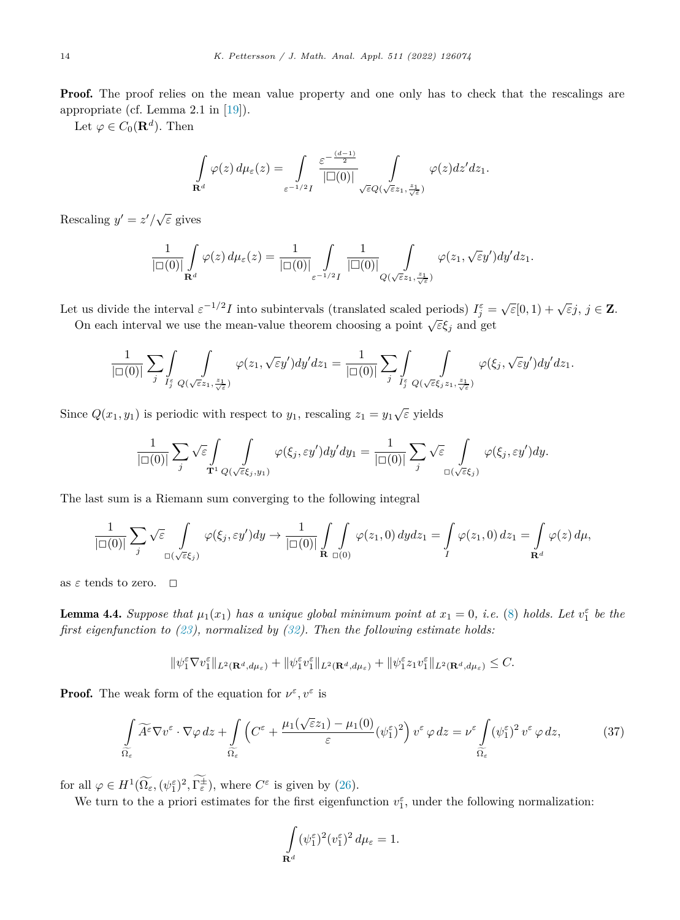<span id="page-14-0"></span>**Proof.** The proof relies on the mean value property and one only has to check that the rescalings are appropriate (cf. Lemma 2.1 in [[19\]](#page-31-0)).

Let  $\varphi \in C_0(\mathbf{R}^d)$ . Then

$$
\int_{\mathbf{R}^d} \varphi(z) d\mu_{\varepsilon}(z) = \int_{\varepsilon^{-1/2}I} \frac{\varepsilon^{-\frac{(d-1)}{2}}}{|\Box(0)|} \int_{\sqrt{\varepsilon}Q(\sqrt{\varepsilon}z_1, \frac{z_1}{\sqrt{\varepsilon}})} \varphi(z) dz' dz_1.
$$

Rescaling  $y' = z'/\sqrt{\varepsilon}$  gives

$$
\frac{1}{|\square(0)|}\int_{\mathbf{R}^d}\varphi(z)\,d\mu_{\varepsilon}(z)=\frac{1}{|\square(0)|}\int_{\varepsilon^{-1/2}I}\frac{1}{|\square(0)|}\int_{Q(\sqrt{\varepsilon}z_1,\frac{z_1}{\sqrt{\varepsilon}})}\varphi(z_1,\sqrt{\varepsilon}y')dy'dz_1.
$$

Let us divide the interval  $\varepsilon^{-1/2}I$  into subintervals (translated scaled periods)  $I_j^{\varepsilon} = \sqrt{\varepsilon}[0,1) + \sqrt{\varepsilon}j$ ,  $j \in \mathbb{Z}$ .

On each interval we use the mean-value theorem choosing a point  $\sqrt{\varepsilon} \xi_j$  and get

$$
\frac{1}{|\square(0)|}\sum_j \int\limits_{I_j^\varepsilon} \int\limits_{Q(\sqrt\varepsilon z_1,\frac{z_1}{\sqrt\varepsilon})} \varphi(z_1,\sqrt\varepsilon y') dy' dz_1 = \frac{1}{|\square(0)|} \sum_j \int\limits_{I_j^\varepsilon} \int\limits_{Q(\sqrt\varepsilon \xi_j z_1,\frac{z_1}{\sqrt\varepsilon})} \varphi(\xi_j,\sqrt\varepsilon y') dy' dz_1.
$$

Since  $Q(x_1, y_1)$  is periodic with respect to  $y_1$ , rescaling  $z_1 = y_1 \sqrt{\varepsilon}$  yields

$$
\frac{1}{|\Box(0)|}\sum_j \sqrt{\varepsilon} \int_{\mathbf{T}^1} \int_{Q(\sqrt{\varepsilon}\xi_j,y_1)} \varphi(\xi_j,\varepsilon y') dy' dy_1 = \frac{1}{|\Box(0)|} \sum_j \sqrt{\varepsilon} \int_{\Box(\sqrt{\varepsilon}\xi_j)} \varphi(\xi_j,\varepsilon y') dy.
$$

The last sum is a Riemann sum converging to the following integral

$$
\frac{1}{|\square(0)|}\sum_j \sqrt{\varepsilon} \int\limits_{\square(\sqrt{\varepsilon}\xi_j)} \varphi(\xi_j,\varepsilon y')dy \to \frac{1}{|\square(0)|}\int\limits_{\mathbf{R}}\int\limits_{\square(0)} \varphi(z_1,0)\,dydz_1 = \int\limits_{I} \varphi(z_1,0)\,dz_1 = \int\limits_{\mathbf{R}^d} \varphi(z)\,d\mu,
$$

as  $\varepsilon$  tends to zero.  $\Box$ 

**Lemma 4.4.** Suppose that  $\mu_1(x_1)$  has a unique global minimum point at  $x_1 = 0$ , i.e. ([8\)](#page-6-0) holds. Let  $v_1^{\varepsilon}$  be the *first eigenfunction to ([23](#page-10-0)), normalized by ([32\)](#page-12-0). Then the following estimate holds:*

$$
\|\psi_1^{\varepsilon}\nabla v_1^{\varepsilon}\|_{L^2(\mathbf{R}^d,d\mu_{\varepsilon})}+\|\psi_1^{\varepsilon}v_1^{\varepsilon}\|_{L^2(\mathbf{R}^d,d\mu_{\varepsilon})}+\|\psi_1^{\varepsilon}z_1v_1^{\varepsilon}\|_{L^2(\mathbf{R}^d,d\mu_{\varepsilon})}\leq C.
$$

**Proof.** The weak form of the equation for  $\nu^{\varepsilon}, \nu^{\varepsilon}$  is

$$
\int_{\widetilde{\Omega_{\varepsilon}}} \widetilde{A^{\varepsilon}} \nabla v^{\varepsilon} \cdot \nabla \varphi \, dz + \int_{\widetilde{\Omega_{\varepsilon}}} \left( C^{\varepsilon} + \frac{\mu_1(\sqrt{\varepsilon}z_1) - \mu_1(0)}{\varepsilon} (\psi_1^{\varepsilon})^2 \right) v^{\varepsilon} \, \varphi \, dz = \nu^{\varepsilon} \int_{\widetilde{\Omega_{\varepsilon}}} (\psi_1^{\varepsilon})^2 v^{\varepsilon} \, \varphi \, dz, \tag{37}
$$

for all  $\varphi \in H^1(\Omega_\varepsilon, (\psi_1^\varepsilon)^2, \Gamma_\varepsilon^\pm)$ , where  $C^\varepsilon$  is given by ([26\)](#page-10-0).

We turn to the a priori estimates for the first eigenfunction  $v_1^{\varepsilon}$ , under the following normalization:

$$
\int\limits_{\mathbf{R}^d} (\psi_1^\varepsilon)^2 (v_1^\varepsilon)^2 \, d\mu_\varepsilon = 1.
$$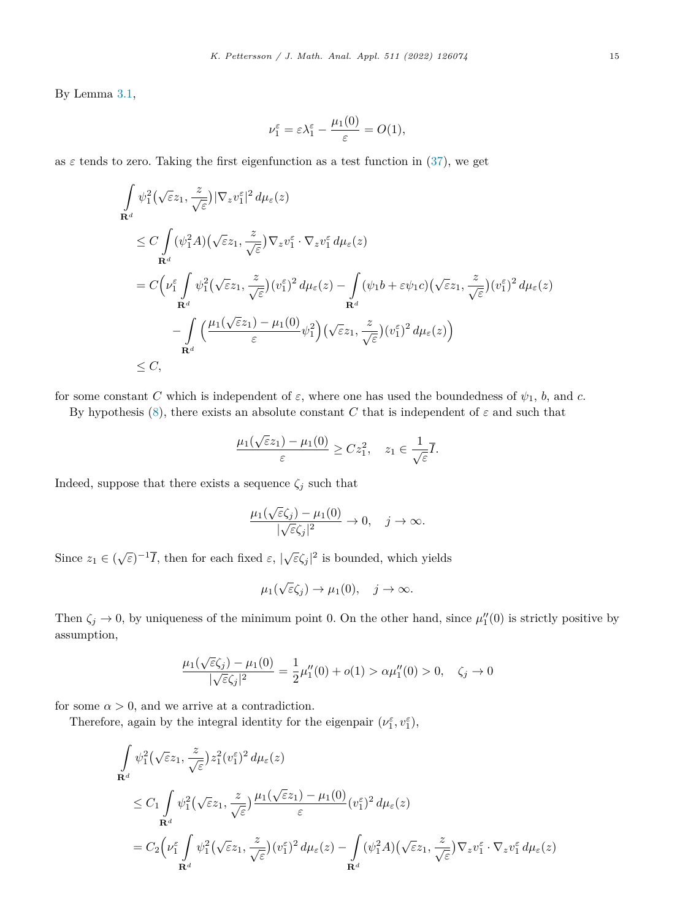By Lemma [3.1](#page-6-0),

$$
\nu_1^{\varepsilon} = \varepsilon \lambda_1^{\varepsilon} - \frac{\mu_1(0)}{\varepsilon} = O(1),
$$

as  $\varepsilon$  tends to zero. Taking the first eigenfunction as a test function in [\(37](#page-14-0)), we get

$$
\int_{\mathbf{R}^d} \psi_1^2(\sqrt{\varepsilon}z_1, \frac{z}{\sqrt{\varepsilon}}) |\nabla_z v_1^{\varepsilon}|^2 d\mu_{\varepsilon}(z) \n\leq C \int_{\mathbf{R}^d} (\psi_1^2 A)(\sqrt{\varepsilon}z_1, \frac{z}{\sqrt{\varepsilon}}) \nabla_z v_1^{\varepsilon} \cdot \nabla_z v_1^{\varepsilon} d\mu_{\varepsilon}(z) \n= C \Big( v_1^{\varepsilon} \int_{\mathbf{R}^d} \psi_1^2(\sqrt{\varepsilon}z_1, \frac{z}{\sqrt{\varepsilon}}) (v_1^{\varepsilon})^2 d\mu_{\varepsilon}(z) - \int_{\mathbf{R}^d} (\psi_1 b + \varepsilon \psi_1 c) (\sqrt{\varepsilon}z_1, \frac{z}{\sqrt{\varepsilon}}) (v_1^{\varepsilon})^2 d\mu_{\varepsilon}(z) \n- \int_{\mathbf{R}^d} \Big( \frac{\mu_1(\sqrt{\varepsilon}z_1) - \mu_1(0)}{\varepsilon} \psi_1^2 \Big) (\sqrt{\varepsilon}z_1, \frac{z}{\sqrt{\varepsilon}}) (v_1^{\varepsilon})^2 d\mu_{\varepsilon}(z) \Big) \n\leq C,
$$

for some constant *C* which is independent of  $\varepsilon$ , where one has used the boundedness of  $\psi_1$ , *b*, and *c*.

By hypothesis  $(8)$  $(8)$ , there exists an absolute constant *C* that is independent of  $\varepsilon$  and such that

$$
\frac{\mu_1(\sqrt{\varepsilon}z_1) - \mu_1(0)}{\varepsilon} \ge Cz_1^2, \quad z_1 \in \frac{1}{\sqrt{\varepsilon}}\overline{I}.
$$

Indeed, suppose that there exists a sequence  $\zeta_j$  such that

$$
\frac{\mu_1(\sqrt{\varepsilon}\zeta_j)-\mu_1(0)}{|\sqrt{\varepsilon}\zeta_j|^2}\to 0,\quad j\to\infty.
$$

Since  $z_1 \in (\sqrt{\varepsilon})^{-1}$ *I*, then for each fixed  $\varepsilon$ ,  $|\sqrt{\varepsilon} \zeta_j|^2$  is bounded, which yields

$$
\mu_1(\sqrt{\varepsilon}\zeta_j)\to\mu_1(0),\quad j\to\infty.
$$

Then  $\zeta_j \to 0$ , by uniqueness of the minimum point 0. On the other hand, since  $\mu_1''(0)$  is strictly positive by assumption,

$$
\frac{\mu_1(\sqrt{\varepsilon}\zeta_j) - \mu_1(0)}{|\sqrt{\varepsilon}\zeta_j|^2} = \frac{1}{2}\mu_1''(0) + o(1) > \alpha \mu_1''(0) > 0, \quad \zeta_j \to 0
$$

for some  $\alpha > 0$ , and we arrive at a contradiction.

Therefore, again by the integral identity for the eigenpair  $(\nu_1^{\varepsilon}, \nu_1^{\varepsilon})$ ,

$$
\int_{\mathbf{R}^d} \psi_1^2(\sqrt{\varepsilon}z_1, \frac{z}{\sqrt{\varepsilon}}) z_1^2(v_1^{\varepsilon})^2 d\mu_{\varepsilon}(z)
$$
\n
$$
\leq C_1 \int_{\mathbf{R}^d} \psi_1^2(\sqrt{\varepsilon}z_1, \frac{z}{\sqrt{\varepsilon}}) \frac{\mu_1(\sqrt{\varepsilon}z_1) - \mu_1(0)}{\varepsilon} (v_1^{\varepsilon})^2 d\mu_{\varepsilon}(z)
$$
\n
$$
= C_2 \Big( \nu_1^{\varepsilon} \int_{\mathbf{R}^d} \psi_1^2(\sqrt{\varepsilon}z_1, \frac{z}{\sqrt{\varepsilon}}) (v_1^{\varepsilon})^2 d\mu_{\varepsilon}(z) - \int_{\mathbf{R}^d} (\psi_1^2 A)(\sqrt{\varepsilon}z_1, \frac{z}{\sqrt{\varepsilon}}) \nabla_z v_1^{\varepsilon} \cdot \nabla_z v_1^{\varepsilon} d\mu_{\varepsilon}(z)
$$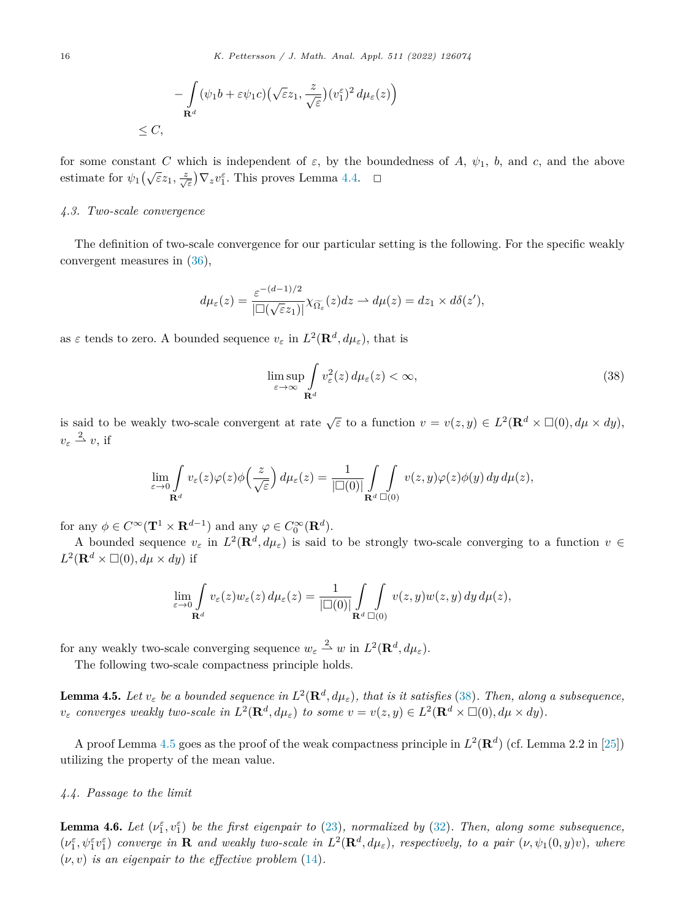<span id="page-16-0"></span>
$$
-\int_{\mathbf{R}^d} (\psi_1 b + \varepsilon \psi_1 c) \left(\sqrt{\varepsilon} z_1, \frac{z}{\sqrt{\varepsilon}}\right) (\nu_1^{\varepsilon})^2 d\mu_{\varepsilon}(z)\right)
$$
  
\$\leq C\$,

for some constant *C* which is independent of  $\varepsilon$ , by the boundedness of *A*,  $\psi_1$ , *b*, and *c*, and the above estimate for  $\psi_1(\sqrt{\varepsilon}z_1, \frac{z}{\sqrt{\varepsilon}})\nabla_z v_1^{\varepsilon}$ . This proves Lemma [4.4.](#page-14-0)  $\Box$ 

### *4.3. Two-scale convergence*

The definition of two-scale convergence for our particular setting is the following. For the specific weakly convergent measures in ([36\)](#page-13-0),

$$
d\mu_{\varepsilon}(z) = \frac{\varepsilon^{-(d-1)/2}}{|\Box(\sqrt{\varepsilon}z_1)|} \chi_{\widetilde{\Omega_{\varepsilon}}}(z) dz \rightharpoonup d\mu(z) = dz_1 \times d\delta(z'),
$$

as  $\varepsilon$  tends to zero. A bounded sequence  $v_{\varepsilon}$  in  $L^2(\mathbf{R}^d, d\mu_{\varepsilon})$ , that is

$$
\limsup_{\varepsilon \to \infty} \int_{\mathbf{R}^d} v_{\varepsilon}^2(z) d\mu_{\varepsilon}(z) < \infty,\tag{38}
$$

is said to be weakly two-scale convergent at rate  $\sqrt{\varepsilon}$  to a function  $v = v(z, y) \in L^2(\mathbf{R}^d \times \Box(0), d\mu \times dy)$ ,  $v_{\varepsilon} \stackrel{2}{\rightharpoonup} v$ , if

$$
\lim_{\varepsilon \to 0} \int_{\mathbf{R}^d} v_{\varepsilon}(z) \varphi(z) \phi\left(\frac{z}{\sqrt{\varepsilon}}\right) d\mu_{\varepsilon}(z) = \frac{1}{|\Box(0)|} \int_{\mathbf{R}^d} \int_{\Box(0)} v(z, y) \varphi(z) \phi(y) dy d\mu(z),
$$

for any  $\phi \in C^{\infty}(\mathbf{T}^1 \times \mathbf{R}^{d-1})$  and any  $\varphi \in C_0^{\infty}(\mathbf{R}^d)$ .

A bounded sequence  $v_{\varepsilon}$  in  $L^2(\mathbf{R}^d, d\mu_{\varepsilon})$  is said to be strongly two-scale converging to a function  $v \in$  $L^2(\mathbf{R}^d \times \square(0), d\mu \times dy)$  if

$$
\lim_{\varepsilon \to 0} \int_{\mathbf{R}^d} v_{\varepsilon}(z) w_{\varepsilon}(z) d\mu_{\varepsilon}(z) = \frac{1}{|\Box(0)|} \int_{\mathbf{R}^d} \int_{\Box(0)} v(z, y) w(z, y) dy d\mu(z),
$$

for any weakly two-scale converging sequence  $w_{\varepsilon} \stackrel{2}{\rightharpoonup} w$  in  $L^2(\mathbf{R}^d, d\mu_{\varepsilon})$ .

The following two-scale compactness principle holds.

**Lemma 4.5.** Let  $v_{\varepsilon}$  be a bounded sequence in  $L^2(\mathbf{R}^d, d\mu_{\varepsilon})$ , that is it satisfies (38). Then, along a subsequence,  $v_{\varepsilon}$  converges weakly two-scale in  $L^2(\mathbf{R}^d, d\mu_{\varepsilon})$  to some  $v = v(z, y) \in L^2(\mathbf{R}^d \times \Box(0), d\mu \times dy)$ .

A proof Lemma 4.5 goes as the proof of the weak compactness principle in  $L^2(\mathbf{R}^d)$  (cf. Lemma 2.2 in [[25\]](#page-31-0)) utilizing the property of the mean value.

### *4.4. Passage to the limit*

**Lemma 4.6.** Let  $(\nu_1^{\varepsilon}, \nu_1^{\varepsilon})$  be the first eigenpair to [\(23](#page-10-0)), normalized by ([32\)](#page-12-0). Then, along some subsequence,  $(\nu_1^{\varepsilon}, \psi_1^{\varepsilon} \nu_1^{\varepsilon})$  converge in **R** and weakly two-scale in  $L^2(\mathbf{R}^d, d\mu_{\varepsilon})$ , respectively, to a pair  $(\nu, \psi_1(0, y)v)$ , where  $(\nu, v)$  *is an eigenpair to the effective problem* ([14\)](#page-8-0).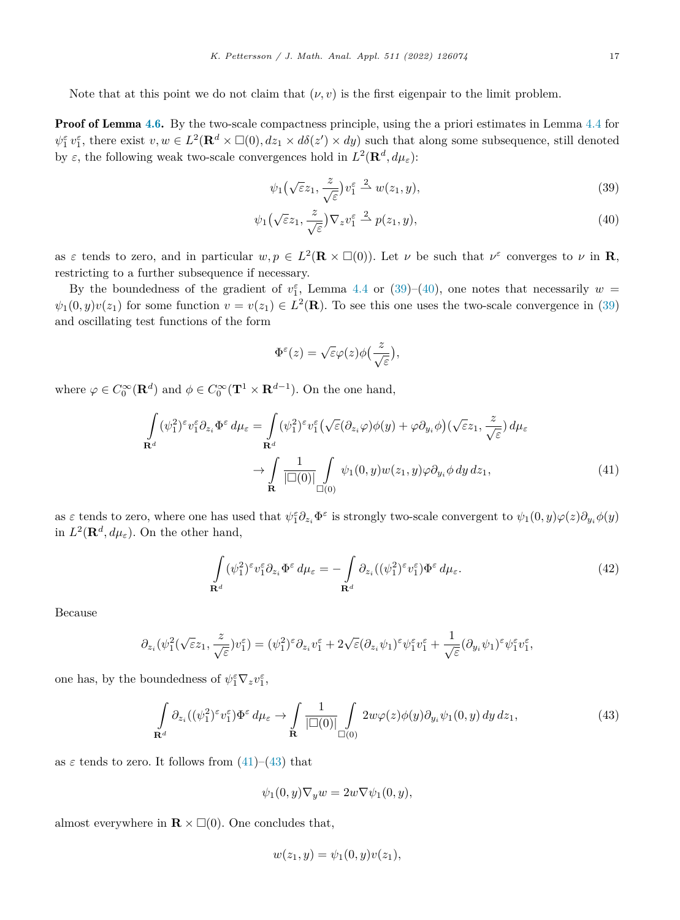<span id="page-17-0"></span>Note that at this point we do not claim that  $(\nu, v)$  is the first eigenpair to the limit problem.

**Proof of Lemma [4.6](#page-16-0).** By the two-scale compactness principle, using the a priori estimates in Lemma [4.4](#page-14-0) for  $\psi_1^{\varepsilon} v_1^{\varepsilon}$ , there exist  $v, w \in L^2(\mathbf{R}^d \times \Box(0), dz_1 \times d\delta(z') \times dy)$  such that along some subsequence, still denoted by *ε*, the following weak two-scale convergences hold in  $L^2(\mathbf{R}^d, d\mu_\varepsilon)$ :

$$
\psi_1(\sqrt{\varepsilon}z_1, \frac{z}{\sqrt{\varepsilon}})v_1^{\varepsilon} \stackrel{2}{\rightharpoonup} w(z_1, y), \tag{39}
$$

$$
\psi_1(\sqrt{\varepsilon}z_1, \frac{z}{\sqrt{\varepsilon}})\nabla_z v_1^{\varepsilon} \stackrel{2}{\rightharpoonup} p(z_1, y), \tag{40}
$$

as  $\varepsilon$  tends to zero, and in particular  $w, p \in L^2(\mathbf{R} \times \square(0))$ . Let  $\nu$  be such that  $\nu^{\varepsilon}$  converges to  $\nu$  in **R**, restricting to a further subsequence if necessary.

By the boundedness of the gradient of  $v_1^{\varepsilon}$ , Lemma [4.4](#page-14-0) or (39)–(40), one notes that necessarily  $w =$  $\psi_1(0, y)v(z_1)$  for some function  $v = v(z_1) \in L^2(\mathbf{R})$ . To see this one uses the two-scale convergence in (39) and oscillating test functions of the form

$$
\Phi^\varepsilon(z)=\sqrt{\varepsilon}\varphi(z)\phi\bigl(\frac{z}{\sqrt{\varepsilon}}\bigr),
$$

where  $\varphi \in C_0^{\infty}(\mathbf{R}^d)$  and  $\phi \in C_0^{\infty}(\mathbf{T}^1 \times \mathbf{R}^{d-1})$ . On the one hand,

$$
\int_{\mathbf{R}^d} (\psi_1^2)^{\varepsilon} v_1^{\varepsilon} \partial_{z_i} \Phi^{\varepsilon} d\mu_{\varepsilon} = \int_{\mathbf{R}^d} (\psi_1^2)^{\varepsilon} v_1^{\varepsilon} \left( \sqrt{\varepsilon} (\partial_{z_i} \varphi) \phi(y) + \varphi \partial_{y_i} \phi \right) \left( \sqrt{\varepsilon} z_1, \frac{z}{\sqrt{\varepsilon}} \right) d\mu_{\varepsilon}
$$
\n
$$
\to \int_{\mathbf{R}} \frac{1}{|\Box(0)|} \int_{\Box(0)} \psi_1(0, y) w(z_1, y) \varphi \partial_{y_i} \phi \, dy \, dz_1,\tag{41}
$$

as  $\varepsilon$  tends to zero, where one has used that  $\psi_1^{\varepsilon}\partial_{z_i}\Phi^{\varepsilon}$  is strongly two-scale convergent to  $\psi_1(0,y)\varphi(z)\partial_{y_i}\phi(y)$ in  $L^2(\mathbf{R}^d, d\mu_\varepsilon)$ . On the other hand,

$$
\int_{\mathbf{R}^d} (\psi_1^2)^\varepsilon v_1^\varepsilon \partial_{z_i} \Phi^\varepsilon d\mu_\varepsilon = -\int_{\mathbf{R}^d} \partial_{z_i} ((\psi_1^2)^\varepsilon v_1^\varepsilon) \Phi^\varepsilon d\mu_\varepsilon. \tag{42}
$$

Because

$$
\partial_{z_i}(\psi_1^2(\sqrt{\varepsilon}z_1,\frac{z}{\sqrt{\varepsilon}})v_1^{\varepsilon})=(\psi_1^2)^{\varepsilon}\partial_{z_i}v_1^{\varepsilon}+2\sqrt{\varepsilon}(\partial_{z_i}\psi_1)^{\varepsilon}\psi_1^{\varepsilon}v_1^{\varepsilon}+\frac{1}{\sqrt{\varepsilon}}(\partial_{y_i}\psi_1)^{\varepsilon}\psi_1^{\varepsilon}v_1^{\varepsilon},
$$

one has, by the boundedness of  $\psi_1^{\varepsilon} \nabla_z v_1^{\varepsilon}$ ,

$$
\int_{\mathbf{R}^d} \partial_{z_i} ((\psi_1^2)^\varepsilon v_1^\varepsilon) \Phi^\varepsilon d\mu_\varepsilon \to \int_{\mathbf{R}} \frac{1}{|\Box(0)|} \int_{\Box(0)} 2w \varphi(z) \phi(y) \partial_{y_i} \psi_1(0, y) dy dz_1,
$$
\n(43)

as  $\varepsilon$  tends to zero. It follows from  $(41)$ – $(43)$  that

$$
\psi_1(0, y)\nabla_y w = 2w\nabla \psi_1(0, y),
$$

almost everywhere in  $\mathbf{R} \times \square(0)$ . One concludes that,

$$
w(z_1, y) = \psi_1(0, y)v(z_1),
$$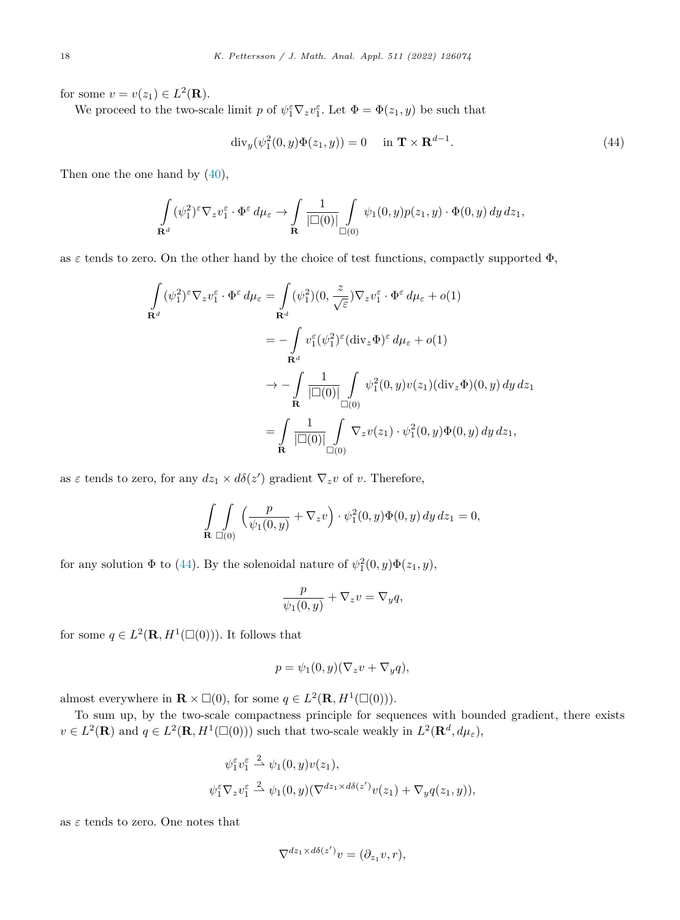for some  $v = v(z_1) \in L^2(\mathbf{R})$ .

We proceed to the two-scale limit *p* of  $\psi_1^{\varepsilon} \nabla_z v_1^{\varepsilon}$ . Let  $\Phi = \Phi(z_1, y)$  be such that

$$
\operatorname{div}_y(\psi_1^2(0, y)\Phi(z_1, y)) = 0 \quad \text{in } \mathbf{T} \times \mathbf{R}^{d-1}.
$$
 (44)

Then one the one hand by ([40\)](#page-17-0),

$$
\int_{\mathbf{R}^d} (\psi_1^2)^\varepsilon \nabla_z v_1^\varepsilon \cdot \Phi^\varepsilon d\mu_\varepsilon \to \int_{\mathbf{R}} \frac{1}{|\Box(0)|} \int_{\Box(0)} \psi_1(0, y) p(z_1, y) \cdot \Phi(0, y) dy dz_1,
$$

as  $\varepsilon$  tends to zero. On the other hand by the choice of test functions, compactly supported  $\Phi$ ,

$$
\int_{\mathbf{R}^d} (\psi_1^2)^{\varepsilon} \nabla_z v_1^{\varepsilon} \cdot \Phi^{\varepsilon} d\mu_{\varepsilon} = \int_{\mathbf{R}^d} (\psi_1^2)(0, \frac{z}{\sqrt{\varepsilon}}) \nabla_z v_1^{\varepsilon} \cdot \Phi^{\varepsilon} d\mu_{\varepsilon} + o(1)
$$
\n
$$
= -\int_{\mathbf{R}^d} v_1^{\varepsilon} (\psi_1^2)^{\varepsilon} (\text{div}_z \Phi)^{\varepsilon} d\mu_{\varepsilon} + o(1)
$$
\n
$$
\to -\int_{\mathbf{R}} \frac{1}{|\Box(0)|} \int_{\Box(0)} \psi_1^2(0, y) v(z_1) (\text{div}_z \Phi)(0, y) dy dz_1
$$
\n
$$
= \int_{\mathbf{R}} \frac{1}{|\Box(0)|} \int_{\Box(0)} \nabla_z v(z_1) \cdot \psi_1^2(0, y) \Phi(0, y) dy dz_1,
$$

as  $\varepsilon$  tends to zero, for any  $dz_1 \times d\delta(z')$  gradient  $\nabla_z v$  of *v*. Therefore,

$$
\int_{\mathbf{R}} \int_{\Box(0)} \left( \frac{p}{\psi_1(0, y)} + \nabla_z v \right) \cdot \psi_1^2(0, y) \Phi(0, y) \, dy \, dz_1 = 0,
$$

for any solution  $\Phi$  to (44). By the solenoidal nature of  $\psi_1^2(0, y)\Phi(z_1, y)$ ,

$$
\frac{p}{\psi_1(0, y)} + \nabla_z v = \nabla_y q,
$$

for some  $q \in L^2(\mathbf{R}, H^1(\square(0)))$ . It follows that

$$
p = \psi_1(0, y)(\nabla_z v + \nabla_y q),
$$

almost everywhere in  $\mathbf{R} \times \square(0)$ , for some  $q \in L^2(\mathbf{R}, H^1(\square(0)))$ .

To sum up, by the two-scale compactness principle for sequences with bounded gradient, there exists  $v \in L^2(\mathbf{R})$  and  $q \in L^2(\mathbf{R}, H^1(\square(0)))$  such that two-scale weakly in  $L^2(\mathbf{R}^d, d\mu_\varepsilon)$ ,

$$
\psi_1^{\varepsilon} v_1^{\varepsilon} \stackrel{2}{\rightarrow} \psi_1(0, y) v(z_1),
$$
  

$$
\psi_1^{\varepsilon} \nabla_z v_1^{\varepsilon} \stackrel{2}{\rightarrow} \psi_1(0, y) (\nabla^{dz_1 \times d\delta(z')} v(z_1) + \nabla_y q(z_1, y)),
$$

as  $\varepsilon$  tends to zero. One notes that

$$
\nabla^{dz_1 \times d\delta(z')} v = (\partial_{z_1} v, r),
$$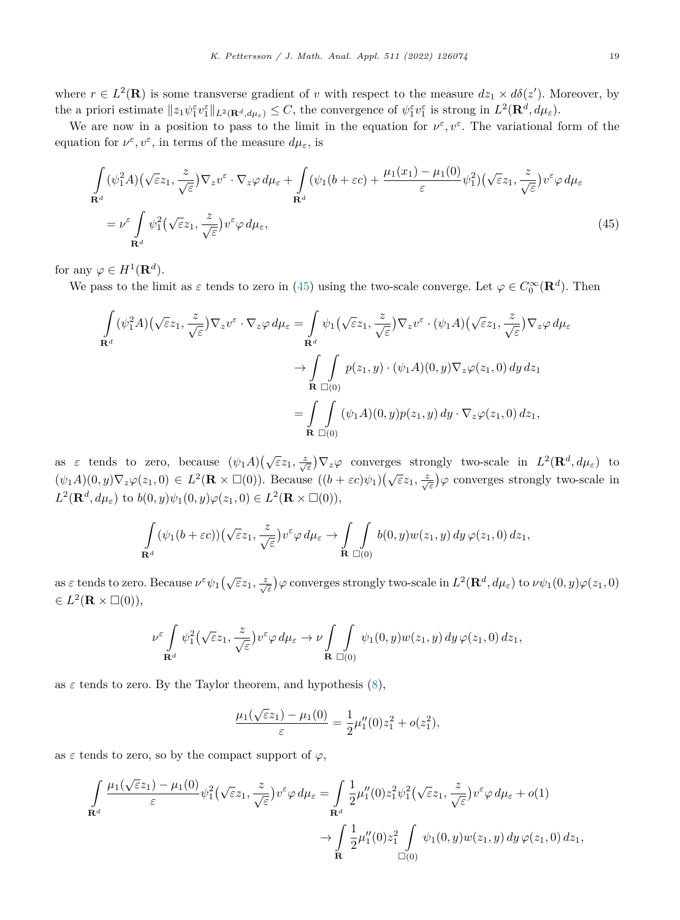<span id="page-19-0"></span>where  $r \in L^2(\mathbf{R})$  is some transverse gradient of *v* with respect to the measure  $dz_1 \times d\delta(z')$ . Moreover, by the a priori estimate  $||z_1 \psi_1^{\varepsilon} v_1^{\varepsilon}||_{L^2(\mathbf{R}^d, d\mu_{\varepsilon})} \leq C$ , the convergence of  $\psi_1^{\varepsilon} v_1^{\varepsilon}$  is strong in  $L^2(\mathbf{R}^d, d\mu_{\varepsilon})$ .

We are now in a position to pass to the limit in the equation for  $\nu^{\varepsilon}, \nu^{\varepsilon}$ . The variational form of the equation for  $\nu^{\varepsilon}, \nu^{\varepsilon}$ , in terms of the measure  $d\mu_{\varepsilon}$ , is

$$
\int_{\mathbf{R}^d} (\psi_1^2 A)(\sqrt{\varepsilon} z_1, \frac{z}{\sqrt{\varepsilon}}) \nabla_z v^{\varepsilon} \cdot \nabla_z \varphi \, d\mu_{\varepsilon} + \int_{\mathbf{R}^d} (\psi_1 (b + \varepsilon c) + \frac{\mu_1(x_1) - \mu_1(0)}{\varepsilon} \psi_1^2) (\sqrt{\varepsilon} z_1, \frac{z}{\sqrt{\varepsilon}}) v^{\varepsilon} \varphi \, d\mu_{\varepsilon}
$$
\n
$$
= \nu^{\varepsilon} \int_{\mathbf{R}^d} \psi_1^2 (\sqrt{\varepsilon} z_1, \frac{z}{\sqrt{\varepsilon}}) v^{\varepsilon} \varphi \, d\mu_{\varepsilon}, \tag{45}
$$

for any  $\varphi \in H^1(\mathbf{R}^d)$ .

We pass to the limit as  $\varepsilon$  tends to zero in (45) using the two-scale converge. Let  $\varphi \in C_0^{\infty}(\mathbf{R}^d)$ . Then

$$
\int_{\mathbf{R}^d} (\psi_1^2 A) (\sqrt{\varepsilon} z_1, \frac{z}{\sqrt{\varepsilon}}) \nabla_z v^{\varepsilon} \cdot \nabla_z \varphi \, d\mu_{\varepsilon} = \int_{\mathbf{R}^d} \psi_1 (\sqrt{\varepsilon} z_1, \frac{z}{\sqrt{\varepsilon}}) \nabla_z v^{\varepsilon} \cdot (\psi_1 A) (\sqrt{\varepsilon} z_1, \frac{z}{\sqrt{\varepsilon}}) \nabla_z \varphi \, d\mu_{\varepsilon}
$$
\n
$$
\to \int_{\mathbf{R}} \int_{\Box(0)} p(z_1, y) \cdot (\psi_1 A)(0, y) \nabla_z \varphi(z_1, 0) \, dy \, dz_1
$$
\n
$$
= \int_{\mathbf{R}} \int_{\Box(0)} (\psi_1 A)(0, y) p(z_1, y) \, dy \cdot \nabla_z \varphi(z_1, 0) \, dz_1,
$$

as  $\varepsilon$  tends to zero, because  $(\psi_1 A)(\sqrt{\varepsilon}z_1, \frac{z}{\sqrt{\varepsilon}})\nabla_z \varphi$  converges strongly two-scale in  $L^2(\mathbf{R}^d, d\mu_{\varepsilon})$  to  $(\psi_1 A)(0, y) \nabla_z \varphi(z_1, 0) \in L^2(\mathbf{R} \times \Box(0)).$  Because  $((b + \varepsilon c)\psi_1)(\sqrt{\varepsilon}z_1, \frac{z}{\sqrt{\varepsilon}})\varphi$  converges strongly two-scale in  $L^2(\mathbf{R}^d, d\mu_{\varepsilon})$  to  $b(0, y)\psi_1(0, y)\varphi(z_1, 0) \in L^2(\mathbf{R} \times \square(0)),$ 

$$
\int_{\mathbf{R}^d} (\psi_1(b+\varepsilon c))(\sqrt{\varepsilon}z_1, \frac{z}{\sqrt{\varepsilon}})v^{\varepsilon} \varphi d\mu_{\varepsilon} \to \int_{\mathbf{R}} \int_{\Box(0)} b(0, y)w(z_1, y) dy \varphi(z_1, 0) dz_1,
$$

as  $\varepsilon$  tends to zero. Because  $\nu^{\varepsilon}\psi_1(\sqrt{\varepsilon}z_1,\frac{z}{\sqrt{\varepsilon}})\varphi$  converges strongly two-scale in  $L^2(\mathbf{R}^d,d\mu_{\varepsilon})$  to  $\nu\psi_1(0,y)\varphi(z_1,0)$  $\in L^2(\mathbf{R} \times \square(0)),$ 

$$
\nu^{\varepsilon} \int_{\mathbf{R}^d} \psi_1^2(\sqrt{\varepsilon}z_1, \frac{z}{\sqrt{\varepsilon}}) v^{\varepsilon} \varphi \, d\mu_{\varepsilon} \to \nu \int_{\mathbf{R}} \int_{\Box(0)} \psi_1(0, y) w(z_1, y) \, dy \, \varphi(z_1, 0) \, dz_1,
$$

as  $\varepsilon$  tends to zero. By the Taylor theorem, and hypothesis  $(8)$  $(8)$ ,

$$
\frac{\mu_1(\sqrt{\varepsilon}z_1) - \mu_1(0)}{\varepsilon} = \frac{1}{2}\mu_1''(0)z_1^2 + o(z_1^2),
$$

as  $\varepsilon$  tends to zero, so by the compact support of  $\varphi$ ,

$$
\int_{\mathbf{R}^d} \frac{\mu_1(\sqrt{\varepsilon}z_1) - \mu_1(0)}{\varepsilon} \psi_1^2(\sqrt{\varepsilon}z_1, \frac{z}{\sqrt{\varepsilon}}) v^{\varepsilon} \varphi \, d\mu_{\varepsilon} = \int_{\mathbf{R}^d} \frac{1}{2} \mu_1''(0) z_1^2 \psi_1^2(\sqrt{\varepsilon}z_1, \frac{z}{\sqrt{\varepsilon}}) v^{\varepsilon} \varphi \, d\mu_{\varepsilon} + o(1) \n\to \int_{\mathbf{R}} \frac{1}{2} \mu_1''(0) z_1^2 \int_{\Box(0)} \psi_1(0, y) w(z_1, y) \, dy \, \varphi(z_1, 0) \, dz_1,
$$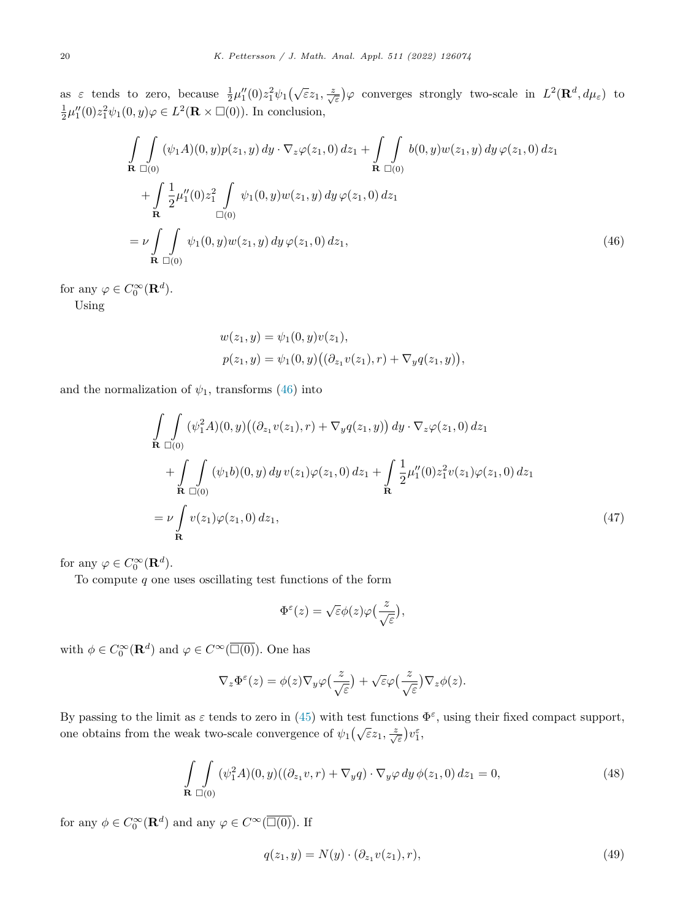<span id="page-20-0"></span>as  $\varepsilon$  tends to zero, because  $\frac{1}{2}\mu_1''(0)z_1^2\psi_1(\sqrt{\varepsilon}z_1,\frac{z}{\sqrt{\varepsilon}})\varphi$  converges strongly two-scale in  $L^2(\mathbf{R}^d,d\mu_{\varepsilon})$  to  $\frac{1}{2}\mu_1''(0)z_1^2\psi_1(0,y)\varphi \in L^2(\mathbf{R} \times \square(0)).$  In conclusion,

$$
\int_{\mathbf{R}} \int_{\Box(0)} (\psi_1 A)(0, y) p(z_1, y) dy \cdot \nabla_z \varphi(z_1, 0) dz_1 + \int_{\mathbf{R}} \int_{\Box(0)} b(0, y) w(z_1, y) dy \varphi(z_1, 0) dz_1 \n+ \int_{\mathbf{R}} \frac{1}{2} \mu_1''(0) z_1^2 \int_{\Box(0)} \psi_1(0, y) w(z_1, y) dy \varphi(z_1, 0) dz_1 \n= \nu \int_{\mathbf{R}} \int_{\Box(0)} \psi_1(0, y) w(z_1, y) dy \varphi(z_1, 0) dz_1,
$$
\n(46)

for any  $\varphi \in C_0^{\infty}(\mathbf{R}^d)$ .

Using

$$
w(z_1, y) = \psi_1(0, y)v(z_1),
$$
  

$$
p(z_1, y) = \psi_1(0, y) ((\partial_{z_1} v(z_1), r) + \nabla_y q(z_1, y)),
$$

and the normalization of  $\psi_1$ , transforms (46) into

$$
\int_{\mathbf{R}} \int_{\Box(0)} (\psi_1^2 A)(0, y) ((\partial_{z_1} v(z_1), r) + \nabla_y q(z_1, y)) dy \cdot \nabla_z \varphi(z_1, 0) dz_1 \n+ \int_{\mathbf{R}} \int_{\Box(0)} (\psi_1 b)(0, y) dy v(z_1) \varphi(z_1, 0) dz_1 + \int_{\mathbf{R}} \frac{1}{2} \mu_1''(0) z_1^2 v(z_1) \varphi(z_1, 0) dz_1 \n= \nu \int_{\mathbf{R}} v(z_1) \varphi(z_1, 0) dz_1,
$$
\n(47)

for any  $\varphi \in C_0^{\infty}(\mathbf{R}^d)$ .

To compute *q* one uses oscillating test functions of the form

$$
\Phi^{\varepsilon}(z) = \sqrt{\varepsilon} \phi(z) \varphi\left(\frac{z}{\sqrt{\varepsilon}}\right),
$$

with  $\phi \in C_0^{\infty}(\mathbf{R}^d)$  and  $\varphi \in C^{\infty}(\overline{\Box(0)})$ . One has

$$
\nabla_z \Phi^{\varepsilon}(z) = \phi(z) \nabla_y \varphi\left(\frac{z}{\sqrt{\varepsilon}}\right) + \sqrt{\varepsilon} \varphi\left(\frac{z}{\sqrt{\varepsilon}}\right) \nabla_z \phi(z).
$$

By passing to the limit as  $\varepsilon$  tends to zero in ([45\)](#page-19-0) with test functions  $\Phi^{\varepsilon}$ , using their fixed compact support, one obtains from the weak two-scale convergence of  $\psi_1(\sqrt{\varepsilon}z_1, \frac{z}{\sqrt{\varepsilon}})v_1^{\varepsilon}$ ,

$$
\int_{\mathbf{R}} \int_{\Box(0)} (\psi_1^2 A)(0, y) ((\partial_{z_1} v, r) + \nabla_y q) \cdot \nabla_y \varphi \, dy \, \phi(z_1, 0) \, dz_1 = 0, \tag{48}
$$

for any  $\phi \in C_0^{\infty}(\mathbf{R}^d)$  and any  $\varphi \in C^{\infty}(\overline{\Box(0)})$ . If

$$
q(z_1, y) = N(y) \cdot (\partial_{z_1} v(z_1), r), \tag{49}
$$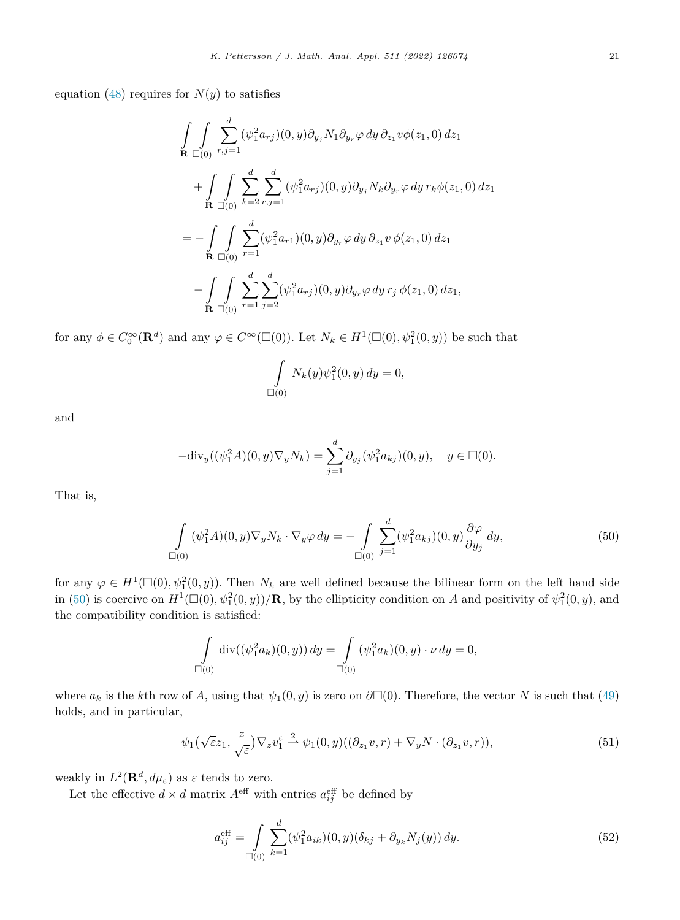<span id="page-21-0"></span>equation [\(48\)](#page-20-0) requires for  $N(y)$  to satisfies

$$
\int_{\mathbf{R}} \int_{\Box(0)} \sum_{r,j=1}^{d} (\psi_1^2 a_{rj})(0, y) \partial_{y_j} N_1 \partial_{y_r} \varphi \, dy \, \partial_{z_1} v \phi(z_1, 0) \, dz_1 \n+ \int_{\mathbf{R}} \int_{\Box(0)} \sum_{k=2}^{d} \sum_{r,j=1}^{d} (\psi_1^2 a_{rj})(0, y) \partial_{y_j} N_k \partial_{y_r} \varphi \, dy \, r_k \phi(z_1, 0) \, dz_1 \n= - \int_{\mathbf{R}} \int_{\Box(0)} \sum_{r=1}^{d} (\psi_1^2 a_{r1})(0, y) \partial_{y_r} \varphi \, dy \, \partial_{z_1} v \, \phi(z_1, 0) \, dz_1 \n- \int_{\mathbf{R}} \int_{\Box(0)} \sum_{r=1}^{d} \sum_{j=2}^{d} (\psi_1^2 a_{rj})(0, y) \partial_{y_r} \varphi \, dy \, r_j \, \phi(z_1, 0) \, dz_1,
$$

for any  $\phi \in C_0^{\infty}(\mathbf{R}^d)$  and any  $\varphi \in C^{\infty}(\overline{\Box(0)})$ . Let  $N_k \in H^1(\Box(0), \psi_1^2(0, y))$  be such that

$$
\int_{\Box(0)} N_k(y)\psi_1^2(0, y) \, dy = 0,
$$

and

$$
-\text{div}_y((\psi_1^2 A)(0, y)\nabla_y N_k) = \sum_{j=1}^d \partial_{y_j}(\psi_1^2 a_{kj})(0, y), \quad y \in \Box(0).
$$

That is,

$$
\int_{\Box(0)} (\psi_1^2 A)(0, y) \nabla_y N_k \cdot \nabla_y \varphi \, dy = - \int_{\Box(0)} \sum_{j=1}^d (\psi_1^2 a_{kj})(0, y) \frac{\partial \varphi}{\partial y_j} \, dy,\tag{50}
$$

for any  $\varphi \in H^1(\square(0), \psi_1^2(0, y))$ . Then  $N_k$  are well defined because the bilinear form on the left hand side in (50) is coercive on  $H^1(\Box(0), \psi_1^2(0, y))/\mathbf{R}$ , by the ellipticity condition on *A* and positivity of  $\psi_1^2(0, y)$ , and the compatibility condition is satisfied:

$$
\int_{\Box(0)} \text{div}((\psi_1^2 a_k)(0, y)) dy = \int_{\Box(0)} (\psi_1^2 a_k)(0, y) \cdot \nu dy = 0,
$$

where  $a_k$  is the *k*th row of *A*, using that  $\psi_1(0, y)$  is zero on  $\partial \Box(0)$ . Therefore, the vector *N* is such that [\(49](#page-20-0)) holds, and in particular,

$$
\psi_1(\sqrt{\varepsilon}z_1, \frac{z}{\sqrt{\varepsilon}})\nabla_z v_1^{\varepsilon} \stackrel{2}{\rightharpoonup} \psi_1(0, y)((\partial_{z_1}v, r) + \nabla_y N \cdot (\partial_{z_1}v, r)), \tag{51}
$$

weakly in  $L^2(\mathbf{R}^d, d\mu_\varepsilon)$  as  $\varepsilon$  tends to zero.

Let the effective  $d \times d$  matrix  $A^{\text{eff}}$  with entries  $a_{ij}^{\text{eff}}$  be defined by

$$
a_{ij}^{\text{eff}} = \int\limits_{\square(0)} \sum_{k=1}^{d} (\psi_1^2 a_{ik})(0, y)(\delta_{kj} + \partial_{y_k} N_j(y)) dy.
$$
 (52)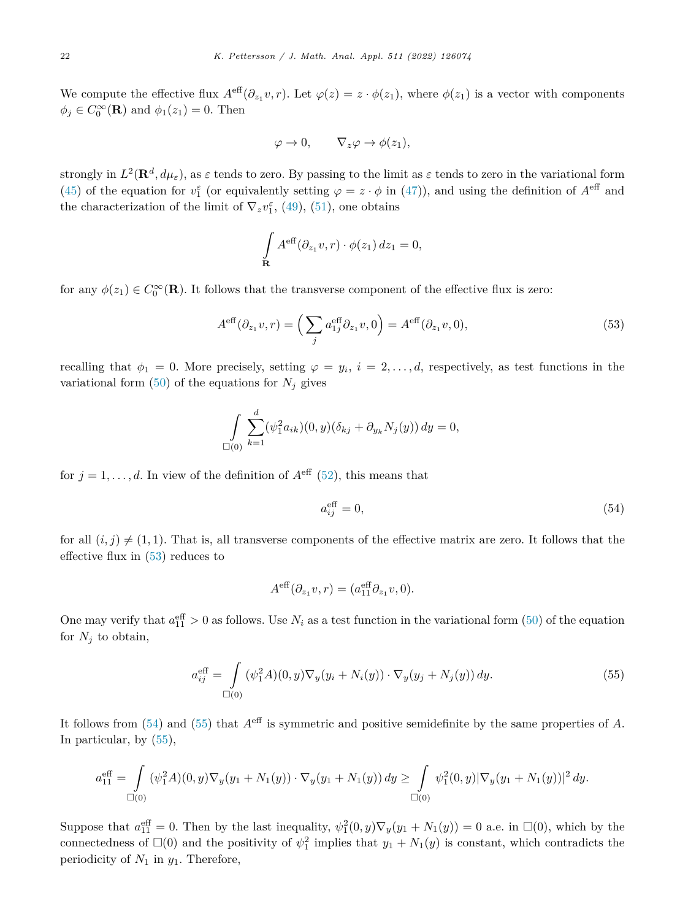We compute the effective flux  $A^{\text{eff}}(\partial_{z_1} v, r)$ . Let  $\varphi(z) = z \cdot \phi(z_1)$ , where  $\phi(z_1)$  is a vector with components  $\phi_j \in C_0^{\infty}(\mathbf{R})$  and  $\phi_1(z_1) = 0$ . Then

$$
\varphi \to 0, \qquad \nabla_z \varphi \to \phi(z_1),
$$

strongly in  $L^2(\mathbf{R}^d, d\mu_\varepsilon)$ , as  $\varepsilon$  tends to zero. By passing to the limit as  $\varepsilon$  tends to zero in the variational form [\(45](#page-19-0)) of the equation for  $v_1^{\varepsilon}$  (or equivalently setting  $\varphi = z \cdot \phi$  in [\(47](#page-20-0))), and using the definition of  $A^{\text{eff}}$  and the characterization of the limit of  $\nabla_z v_1^{\varepsilon}$ , ([49\)](#page-20-0), ([51\)](#page-21-0), one obtains

$$
\int_{\mathbf{R}} A^{\text{eff}}(\partial_{z_1} v, r) \cdot \phi(z_1) dz_1 = 0,
$$

for any  $\phi(z_1) \in C_0^{\infty}(\mathbf{R})$ . It follows that the transverse component of the effective flux is zero:

$$
A^{\text{eff}}(\partial_{z_1}v, r) = \left(\sum_j a_{1j}^{\text{eff}} \partial_{z_1}v, 0\right) = A^{\text{eff}}(\partial_{z_1}v, 0),\tag{53}
$$

recalling that  $\phi_1 = 0$ . More precisely, setting  $\varphi = y_i$ ,  $i = 2, \ldots, d$ , respectively, as test functions in the variational form  $(50)$  $(50)$  of the equations for  $N_j$  gives

$$
\int_{\Box(0)} \sum_{k=1}^d (\psi_1^2 a_{ik})(0, y)(\delta_{kj} + \partial_{y_k} N_j(y)) dy = 0,
$$

for  $j = 1, \ldots, d$ . In view of the definition of  $A^{\text{eff}}$  ([52](#page-21-0)), this means that

$$
a_{ij}^{\text{eff}} = 0,\tag{54}
$$

for all  $(i, j) \neq (1, 1)$ . That is, all transverse components of the effective matrix are zero. It follows that the effective flux in (53) reduces to

$$
A^{\text{eff}}(\partial_{z_1}v, r) = (a_{11}^{\text{eff}}\partial_{z_1}v, 0).
$$

One may verify that  $a_{11}^{\text{eff}} > 0$  as follows. Use  $N_i$  as a test function in the variational form [\(50](#page-21-0)) of the equation for  $N_j$  to obtain,

$$
a_{ij}^{\text{eff}} = \int_{\Box(0)} (\psi_1^2 A)(0, y) \nabla_y (y_i + N_i(y)) \cdot \nabla_y (y_j + N_j(y)) \, dy. \tag{55}
$$

It follows from (54) and (55) that *A*eff is symmetric and positive semidefinite by the same properties of *A*. In particular, by (55),

$$
a_{11}^{\text{eff}} = \int\limits_{\square(0)} (\psi_1^2 A)(0, y) \nabla_y (y_1 + N_1(y)) \cdot \nabla_y (y_1 + N_1(y)) \, dy \geq \int\limits_{\square(0)} \psi_1^2 (0, y) |\nabla_y (y_1 + N_1(y))|^2 \, dy.
$$

Suppose that  $a_{11}^{\text{eff}} = 0$ . Then by the last inequality,  $\psi_1^2(0, y) \nabla_y(y_1 + N_1(y)) = 0$  a.e. in  $\square(0)$ , which by the connectedness of  $\square(0)$  and the positivity of  $\psi_1^2$  implies that  $y_1 + N_1(y)$  is constant, which contradicts the periodicity of *N*<sup>1</sup> in *y*1. Therefore,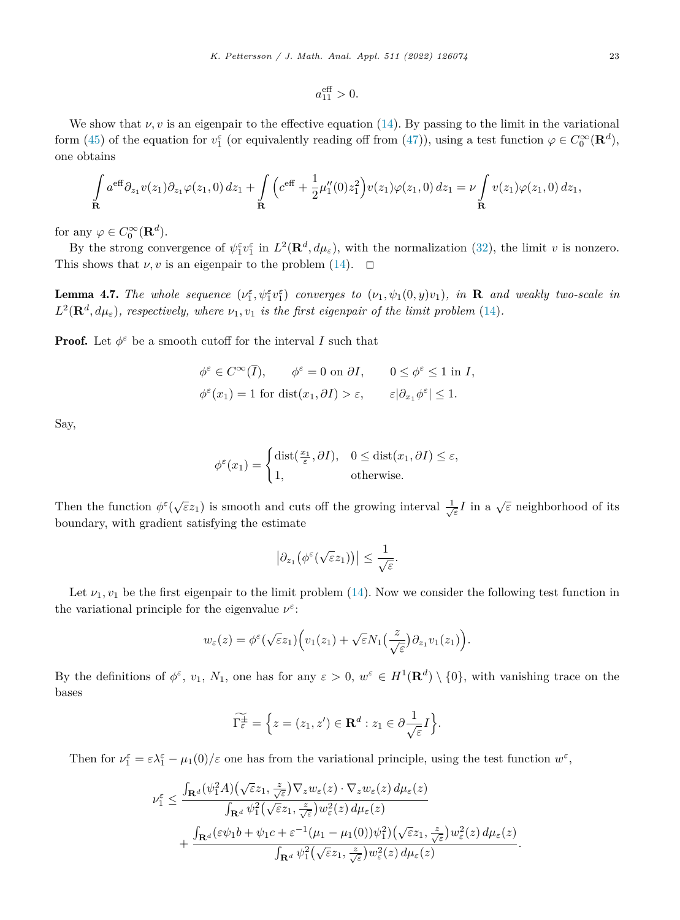We show that  $\nu, v$  is an eigenpair to the effective equation [\(14](#page-8-0)). By passing to the limit in the variational form [\(45](#page-19-0)) of the equation for  $v_1^{\varepsilon}$  (or equivalently reading off from [\(47](#page-20-0))), using a test function  $\varphi \in C_0^{\infty}(\mathbf{R}^d)$ , one obtains

$$
\int_{\mathbf{R}} a^{\text{eff}} \partial_{z_1} v(z_1) \partial_{z_1} \varphi(z_1, 0) dz_1 + \int_{\mathbf{R}} \left( c^{\text{eff}} + \frac{1}{2} \mu_1''(0) z_1^2 \right) v(z_1) \varphi(z_1, 0) dz_1 = \nu \int_{\mathbf{R}} v(z_1) \varphi(z_1, 0) dz_1,
$$

for any  $\varphi \in C_0^{\infty}(\mathbf{R}^d)$ .

By the strong convergence of  $\psi_1^{\varepsilon} v_1^{\varepsilon}$  in  $L^2(\mathbf{R}^d, d\mu_{\varepsilon})$ , with the normalization ([32\)](#page-12-0), the limit *v* is nonzero. This shows that  $\nu, v$  is an eigenpair to the problem [\(14](#page-8-0)).  $\Box$ 

**Lemma 4.7.** The whole sequence  $(\nu_1^{\varepsilon}, \psi_1^{\varepsilon} v_1^{\varepsilon})$  converges to  $(\nu_1, \psi_1(0, y)v_1)$ , in **R** and weakly two-scale in  $L^2(\mathbf{R}^d, d\mu_{\varepsilon})$ , respectively, where  $\nu_1, \nu_1$  is the first eigenpair of the limit problem [\(14](#page-8-0)).

**Proof.** Let  $\phi^{\varepsilon}$  be a smooth cutoff for the interval *I* such that

$$
\phi^{\varepsilon} \in C^{\infty}(\overline{I}), \qquad \phi^{\varepsilon} = 0 \text{ on } \partial I, \qquad 0 \le \phi^{\varepsilon} \le 1 \text{ in } I,
$$
  

$$
\phi^{\varepsilon}(x_1) = 1 \text{ for } \text{dist}(x_1, \partial I) > \varepsilon, \qquad \varepsilon |\partial_{x_1} \phi^{\varepsilon}| \le 1.
$$

Say,

$$
\phi^{\varepsilon}(x_1) = \begin{cases} \text{dist}(\frac{x_1}{\varepsilon}, \partial I), & 0 \leq \text{dist}(x_1, \partial I) \leq \varepsilon, \\ 1, & \text{otherwise.} \end{cases}
$$

Then the function  $\phi^{\varepsilon}(\sqrt{\varepsilon}z_1)$  is smooth and cuts off the growing interval  $\frac{1}{\sqrt{\varepsilon}}I$  in a  $\sqrt{\varepsilon}$  neighborhood of its boundary, with gradient satisfying the estimate

$$
\left|\partial_{z_1}\big(\phi^{\varepsilon}(\sqrt{\varepsilon}z_1)\big)\right|\leq \frac{1}{\sqrt{\varepsilon}}.
$$

Let  $\nu_1, \nu_1$  be the first eigenpair to the limit problem ([14\)](#page-8-0). Now we consider the following test function in the variational principle for the eigenvalue  $\nu^{\varepsilon}$ :

$$
w_{\varepsilon}(z) = \phi^{\varepsilon}(\sqrt{\varepsilon}z_1)\Big(v_1(z_1) + \sqrt{\varepsilon}N_1\big(\frac{z}{\sqrt{\varepsilon}}\big)\partial_{z_1}v_1(z_1)\Big).
$$

By the definitions of  $\phi^{\varepsilon}$ ,  $v_1$ ,  $N_1$ , one has for any  $\varepsilon > 0$ ,  $w^{\varepsilon} \in H^1(\mathbf{R}^d) \setminus \{0\}$ , with vanishing trace on the bases

$$
\widetilde{\Gamma_{\varepsilon}^{\pm}} = \Big\{ z = (z_1, z') \in \mathbf{R}^d : z_1 \in \partial \frac{1}{\sqrt{\varepsilon}} I \Big\}.
$$

Then for  $\nu_1^{\varepsilon} = \varepsilon \lambda_1^{\varepsilon} - \mu_1(0)/\varepsilon$  one has from the variational principle, using the test function  $w^{\varepsilon}$ ,

$$
\nu_1^{\varepsilon} \leq \frac{\int_{\mathbf{R}^d} (\psi_1^2 A)(\sqrt{\varepsilon} z_1, \frac{z}{\sqrt{\varepsilon}}) \nabla_z w_{\varepsilon}(z) \cdot \nabla_z w_{\varepsilon}(z) d\mu_{\varepsilon}(z)}{\int_{\mathbf{R}^d} \psi_1^2 (\sqrt{\varepsilon} z_1, \frac{z}{\sqrt{\varepsilon}}) w_{\varepsilon}^2(z) d\mu_{\varepsilon}(z)} + \frac{\int_{\mathbf{R}^d} (\varepsilon \psi_1 b + \psi_1 c + \varepsilon^{-1} (\mu_1 - \mu_1(0)) \psi_1^2)(\sqrt{\varepsilon} z_1, \frac{z}{\sqrt{\varepsilon}}) w_{\varepsilon}^2(z) d\mu_{\varepsilon}(z)}{\int_{\mathbf{R}^d} \psi_1^2 (\sqrt{\varepsilon} z_1, \frac{z}{\sqrt{\varepsilon}}) w_{\varepsilon}^2(z) d\mu_{\varepsilon}(z)}.
$$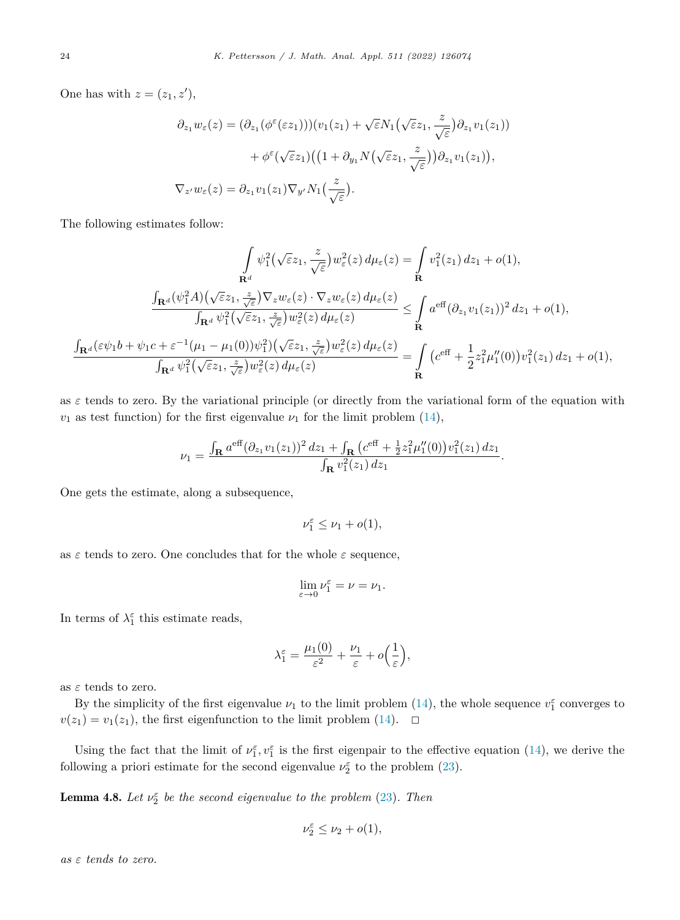One has with  $z = (z_1, z'),$ 

$$
\partial_{z_1} w_{\varepsilon}(z) = (\partial_{z_1} (\phi^{\varepsilon}(\varepsilon z_1)))(v_1(z_1) + \sqrt{\varepsilon} N_1(\sqrt{\varepsilon} z_1, \frac{z}{\sqrt{\varepsilon}}) \partial_{z_1} v_1(z_1)) \n+ \phi^{\varepsilon} (\sqrt{\varepsilon} z_1)((1 + \partial_{y_1} N(\sqrt{\varepsilon} z_1, \frac{z}{\sqrt{\varepsilon}})) \partial_{z_1} v_1(z_1)),
$$
\n
$$
\nabla_{z'} w_{\varepsilon}(z) = \partial_{z_1} v_1(z_1) \nabla_{y'} N_1(\frac{z}{\sqrt{\varepsilon}}).
$$

The following estimates follow:

$$
\int_{\mathbf{R}^d} \psi_1^2(\sqrt{\varepsilon}z_1, \frac{z}{\sqrt{\varepsilon}})w_{\varepsilon}^2(z) d\mu_{\varepsilon}(z) = \int_{\mathbf{R}} v_1^2(z_1) dz_1 + o(1),
$$
  
\n
$$
\frac{\int_{\mathbf{R}^d} (\psi_1^2 A)(\sqrt{\varepsilon}z_1, \frac{z}{\sqrt{\varepsilon}}) \nabla_z w_{\varepsilon}(z) \cdot \nabla_z w_{\varepsilon}(z) d\mu_{\varepsilon}(z)}{\int_{\mathbf{R}^d} \psi_1^2(\sqrt{\varepsilon}z_1, \frac{z}{\sqrt{\varepsilon}})w_{\varepsilon}^2(z) d\mu_{\varepsilon}(z)} \le \int_{\mathbf{R}} a^{\text{eff}} (\partial_{z_1} v_1(z_1))^2 dz_1 + o(1),
$$
  
\n
$$
\frac{\int_{\mathbf{R}^d} (\varepsilon \psi_1 b + \psi_1 c + \varepsilon^{-1} (\mu_1 - \mu_1(0)) \psi_1^2)(\sqrt{\varepsilon}z_1, \frac{z}{\sqrt{\varepsilon}})w_{\varepsilon}^2(z) d\mu_{\varepsilon}(z)}{\int_{\mathbf{R}^d} \psi_1^2(\sqrt{\varepsilon}z_1, \frac{z}{\sqrt{\varepsilon}})w_{\varepsilon}^2(z) d\mu_{\varepsilon}(z)} = \int_{\mathbf{R}} \left( c^{\text{eff}} + \frac{1}{2} z_1^2 \mu_1''(0) \right) v_1^2(z_1) dz_1 + o(1),
$$

as  $\varepsilon$  tends to zero. By the variational principle (or directly from the variational form of the equation with  $v_1$  as test function) for the first eigenvalue  $\nu_1$  for the limit problem [\(14\)](#page-8-0),

$$
\nu_1 = \frac{\int_{\mathbf{R}} a^{\text{eff}} (\partial_{z_1} v_1(z_1))^2 dz_1 + \int_{\mathbf{R}} (c^{\text{eff}} + \frac{1}{2} z_1^2 \mu_1''(0)) v_1^2(z_1) dz_1}{\int_{\mathbf{R}} v_1^2(z_1) dz_1}.
$$

One gets the estimate, along a subsequence,

$$
\nu_1^{\varepsilon} \leq \nu_1 + o(1),
$$

as  $\varepsilon$  tends to zero. One concludes that for the whole  $\varepsilon$  sequence,

$$
\lim_{\varepsilon \to 0} \nu_1^{\varepsilon} = \nu = \nu_1.
$$

In terms of  $\lambda_1^{\varepsilon}$  this estimate reads,

$$
\lambda_1^{\varepsilon} = \frac{\mu_1(0)}{\varepsilon^2} + \frac{\nu_1}{\varepsilon} + o\left(\frac{1}{\varepsilon}\right),
$$

as *ε* tends to zero.

By the simplicity of the first eigenvalue  $\nu_1$  to the limit problem [\(14](#page-8-0)), the whole sequence  $v_1^{\varepsilon}$  converges to  $v(z_1) = v_1(z_1)$ , the first eigenfunction to the limit problem [\(14](#page-8-0)).  $\Box$ 

Using the fact that the limit of  $\nu_1^{\varepsilon}$ ,  $\nu_1^{\varepsilon}$  is the first eigenpair to the effective equation [\(14](#page-8-0)), we derive the following a priori estimate for the second eigenvalue  $\nu_2^{\varepsilon}$  to the problem [\(23](#page-10-0)).

**Lemma 4.8.** Let  $\nu_2^{\varepsilon}$  be the second eigenvalue to the problem [\(23](#page-10-0)). Then

$$
\nu_2^{\varepsilon}\leq \nu_2+o(1),
$$

*as ε tends to zero.*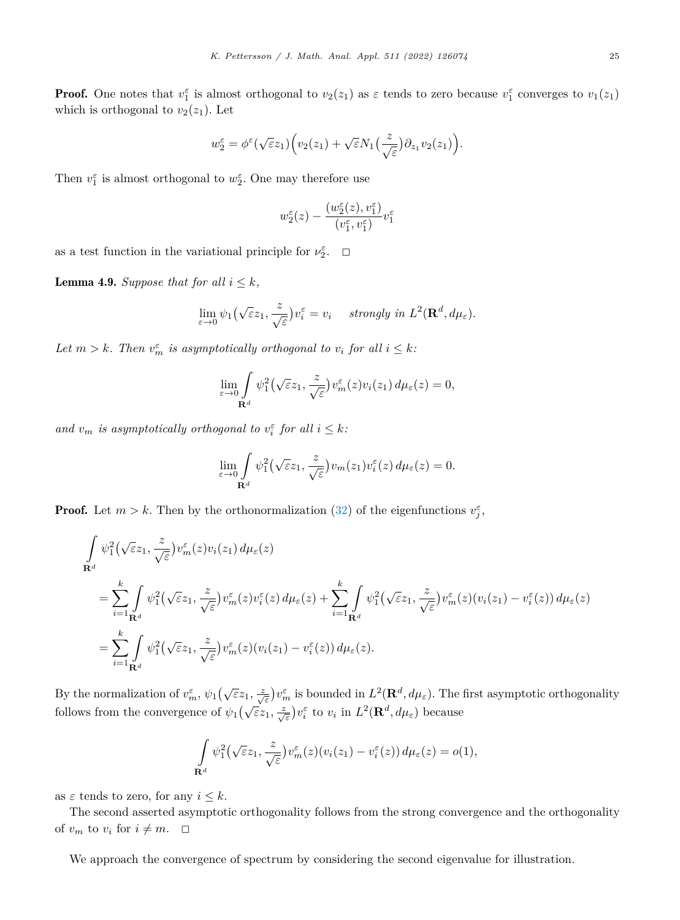**Proof.** One notes that  $v_1^{\varepsilon}$  is almost orthogonal to  $v_2(z_1)$  as  $\varepsilon$  tends to zero because  $v_1^{\varepsilon}$  converges to  $v_1(z_1)$ which is orthogonal to  $v_2(z_1)$ . Let

$$
w_2^{\varepsilon} = \phi^{\varepsilon}(\sqrt{\varepsilon}z_1)\Big(v_2(z_1) + \sqrt{\varepsilon}N_1\big(\frac{z}{\sqrt{\varepsilon}}\big)\partial_{z_1}v_2(z_1)\Big).
$$

Then  $v_1^{\varepsilon}$  is almost orthogonal to  $w_2^{\varepsilon}$ . One may therefore use

$$
w_2^\varepsilon(z)-\frac{(w_2^\varepsilon(z),v_1^\varepsilon)}{(v_1^\varepsilon,v_1^\varepsilon)}v_1^\varepsilon
$$

as a test function in the variational principle for  $\nu_2^{\varepsilon}$ .  $\Box$ 

**Lemma 4.9.** *Suppose that for all*  $i \leq k$ *,* 

$$
\lim_{\varepsilon \to 0} \psi_1(\sqrt{\varepsilon}z_1, \frac{z}{\sqrt{\varepsilon}})v_i^{\varepsilon} = v_i \quad \text{ strongly in } L^2(\mathbf{R}^d, d\mu_{\varepsilon}).
$$

*Let*  $m > k$ *. Then*  $v_m^{\varepsilon}$  *is asymptotically orthogonal to*  $v_i$  *for all*  $i \leq k$ *:* 

$$
\lim_{\varepsilon \to 0} \int_{\mathbf{R}^d} \psi_1^2(\sqrt{\varepsilon}z_1, \frac{z}{\sqrt{\varepsilon}}) v_m^{\varepsilon}(z) v_i(z_1) d\mu_{\varepsilon}(z) = 0,
$$

*and*  $v_m$  *is asymptotically orthogonal to*  $v_i^{\varepsilon}$  *for all*  $i \leq k$ *:* 

$$
\lim_{\varepsilon \to 0} \int_{\mathbf{R}^d} \psi_1^2(\sqrt{\varepsilon}z_1, \frac{z}{\sqrt{\varepsilon}}) v_m(z_1) v_i^{\varepsilon}(z) d\mu_{\varepsilon}(z) = 0.
$$

**Proof.** Let  $m > k$ . Then by the orthonormalization [\(32\)](#page-12-0) of the eigenfunctions  $v_j^{\varepsilon}$ ,

$$
\int_{\mathbf{R}^d} \psi_1^2(\sqrt{\varepsilon}z_1, \frac{z}{\sqrt{\varepsilon}}) v_m^{\varepsilon}(z) v_i(z_1) d\mu_{\varepsilon}(z)
$$
\n
$$
= \sum_{i=1}^k \int_{\mathbf{R}^d} \psi_1^2(\sqrt{\varepsilon}z_1, \frac{z}{\sqrt{\varepsilon}}) v_m^{\varepsilon}(z) v_i^{\varepsilon}(z) d\mu_{\varepsilon}(z) + \sum_{i=1}^k \int_{\mathbf{R}^d} \psi_1^2(\sqrt{\varepsilon}z_1, \frac{z}{\sqrt{\varepsilon}}) v_m^{\varepsilon}(z) (v_i(z_1) - v_i^{\varepsilon}(z)) d\mu_{\varepsilon}(z)
$$
\n
$$
= \sum_{i=1}^k \int_{\mathbf{R}^d} \psi_1^2(\sqrt{\varepsilon}z_1, \frac{z}{\sqrt{\varepsilon}}) v_m^{\varepsilon}(z) (v_i(z_1) - v_i^{\varepsilon}(z)) d\mu_{\varepsilon}(z).
$$

By the normalization of  $v_m^{\varepsilon}$ ,  $\psi_1(\sqrt{\varepsilon}z_1, \frac{z}{\sqrt{\varepsilon}})v_m^{\varepsilon}$  is bounded in  $L^2(\mathbf{R}^d, d\mu_{\varepsilon})$ . The first asymptotic orthogonality follows from the convergence of  $\psi_1(\sqrt{\varepsilon}z_1, \frac{z}{\sqrt{\varepsilon}})v_i^{\varepsilon}$  to  $v_i$  in  $L^2(\mathbf{R}^d, d\mu_{\varepsilon})$  because

$$
\int_{\mathbf{R}^d} \psi_1^2(\sqrt{\varepsilon}z_1, \frac{z}{\sqrt{\varepsilon}})v_m^{\varepsilon}(z)(v_i(z_1) - v_i^{\varepsilon}(z)) d\mu_{\varepsilon}(z) = o(1),
$$

as  $\varepsilon$  tends to zero, for any  $i \leq k$ .

The second asserted asymptotic orthogonality follows from the strong convergence and the orthogonality of  $v_m$  to  $v_i$  for  $i \neq m$ .  $\Box$ 

We approach the convergence of spectrum by considering the second eigenvalue for illustration.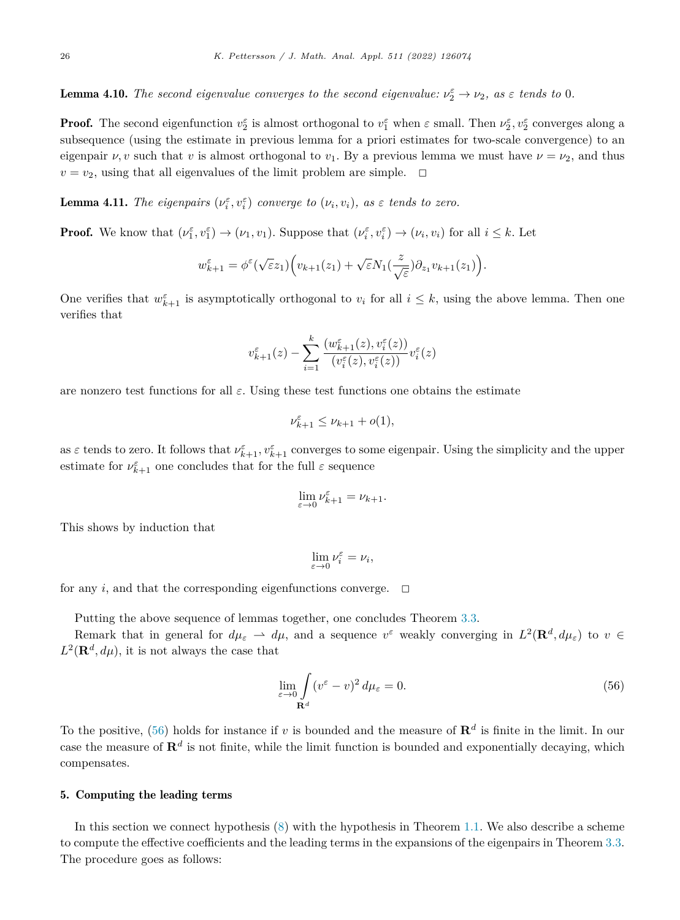<span id="page-26-0"></span>**Lemma 4.10.** *The second eigenvalue converges to the second eigenvalue:*  $\nu_2^{\varepsilon} \to \nu_2$ , as  $\varepsilon$  *tends to* 0*.* 

**Proof.** The second eigenfunction  $v_2^{\varepsilon}$  is almost orthogonal to  $v_1^{\varepsilon}$  when  $\varepsilon$  small. Then  $\nu_2^{\varepsilon}$ ,  $v_2^{\varepsilon}$  converges along a subsequence (using the estimate in previous lemma for a priori estimates for two-scale convergence) to an eigenpair  $\nu, v$  such that  $v$  is almost orthogonal to  $v_1$ . By a previous lemma we must have  $\nu = \nu_2$ , and thus  $v = v_2$ , using that all eigenvalues of the limit problem are simple.  $\Box$ 

**Lemma 4.11.** The eigenpairs  $(\nu_i^{\varepsilon}, v_i^{\varepsilon})$  converge to  $(\nu_i, v_i)$ , as  $\varepsilon$  tends to zero.

**Proof.** We know that  $(\nu_1^{\varepsilon}, \nu_1^{\varepsilon}) \to (\nu_1, \nu_1)$ . Suppose that  $(\nu_i^{\varepsilon}, \nu_i^{\varepsilon}) \to (\nu_i, \nu_i)$  for all  $i \leq k$ . Let

$$
w_{k+1}^{\varepsilon} = \phi^{\varepsilon}(\sqrt{\varepsilon}z_1) \Big( v_{k+1}(z_1) + \sqrt{\varepsilon} N_1(\frac{z}{\sqrt{\varepsilon}}) \partial_{z_1} v_{k+1}(z_1) \Big).
$$

One verifies that  $w_{k+1}^{\varepsilon}$  is asymptotically orthogonal to  $v_i$  for all  $i \leq k$ , using the above lemma. Then one verifies that

$$
v_{k+1}^{\varepsilon}(z)-\sum_{i=1}^{k}\frac{\left(w_{k+1}^{\varepsilon}(z),v_{i}^{\varepsilon}(z)\right)}{\left(v_{i}^{\varepsilon}(z),v_{i}^{\varepsilon}(z)\right)}v_{i}^{\varepsilon}(z)
$$

are nonzero test functions for all *ε*. Using these test functions one obtains the estimate

$$
\nu_{k+1}^{\varepsilon} \le \nu_{k+1} + o(1),
$$

as  $\varepsilon$  tends to zero. It follows that  $\nu_{k+1}^{\varepsilon}$ ,  $v_{k+1}^{\varepsilon}$  converges to some eigenpair. Using the simplicity and the upper estimate for  $\nu_{k+1}^{\varepsilon}$  one concludes that for the full  $\varepsilon$  sequence

$$
\lim_{\varepsilon \to 0} \nu_{k+1}^{\varepsilon} = \nu_{k+1}.
$$

This shows by induction that

 $\lim_{\varepsilon \to 0} \nu_i^{\varepsilon} = \nu_i$ ,

for any *i*, and that the corresponding eigenfunctions converge.  $\Box$ 

Putting the above sequence of lemmas together, one concludes Theorem [3.3](#page-9-0).

Remark that in general for  $d\mu_{\varepsilon} \to d\mu$ , and a sequence  $v^{\varepsilon}$  weakly converging in  $L^2(\mathbf{R}^d, d\mu_{\varepsilon})$  to  $v \in$  $L^2(\mathbf{R}^d, d\mu)$ , it is not always the case that

$$
\lim_{\varepsilon \to 0} \int_{\mathbf{R}^d} (v^{\varepsilon} - v)^2 d\mu_{\varepsilon} = 0.
$$
\n(56)

To the positive, (56) holds for instance if *v* is bounded and the measure of **R***<sup>d</sup>* is finite in the limit. In our case the measure of  $f{R}^d$  is not finite, while the limit function is bounded and exponentially decaying, which compensates.

### 5. Computing the leading terms

In this section we connect hypothesis [\(8](#page-6-0)) with the hypothesis in Theorem [1.1.](#page-2-0) We also describe a scheme to compute the effective coefficients and the leading terms in the expansions of the eigenpairs in Theorem [3.3.](#page-9-0) The procedure goes as follows: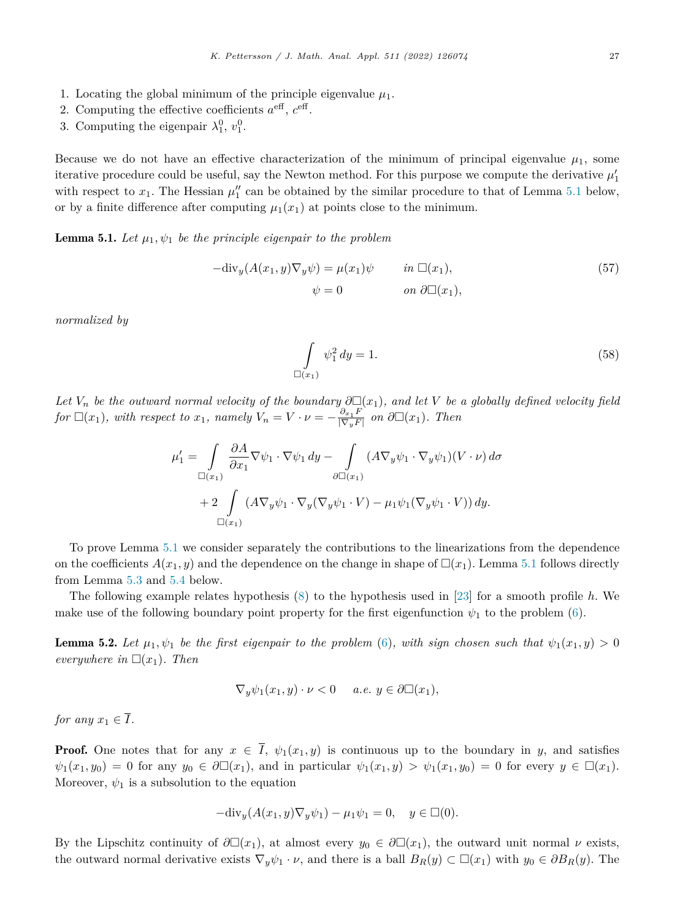- <span id="page-27-0"></span>1. Locating the global minimum of the principle eigenvalue  $\mu_1$ .
- 2. Computing the effective coefficients  $a^{\text{eff}}$ ,  $c^{\text{eff}}$ .
- 3. Computing the eigenpair  $\lambda_1^0, v_1^0$ .

Because we do not have an effective characterization of the minimum of principal eigenvalue  $\mu_1$ , some iterative procedure could be useful, say the Newton method. For this purpose we compute the derivative  $\mu'_1$ with respect to  $x_1$ . The Hessian  $\mu_1''$  can be obtained by the similar procedure to that of Lemma 5.1 below, or by a finite difference after computing  $\mu_1(x_1)$  at points close to the minimum.

**Lemma 5.1.** Let  $\mu_1, \psi_1$  be the principle eigenpair to the problem

$$
-{\rm div}_y(A(x_1, y)\nabla_y \psi) = \mu(x_1)\psi \qquad in \Box(x_1),
$$
  

$$
\psi = 0 \qquad on \ \partial \Box(x_1),
$$
 (57)

*normalized by*

$$
\int_{\Box(x_1)} \psi_1^2 \, dy = 1. \tag{58}
$$

Let  $V_n$  be the outward normal velocity of the boundary  $\partial \Box(x_1)$ , and let V be a globally defined velocity field for  $\square(x_1)$ , with respect to  $x_1$ , namely  $V_n = V \cdot \nu = -\frac{\partial_{x_1} F}{|\nabla_y F|}$  on  $\partial \square(x_1)$ . Then

$$
\mu_1' = \int_{\square(x_1)} \frac{\partial A}{\partial x_1} \nabla \psi_1 \cdot \nabla \psi_1 dy - \int_{\partial \square(x_1)} (A \nabla_y \psi_1 \cdot \nabla_y \psi_1)(V \cdot \nu) d\sigma + 2 \int_{\square(x_1)} (A \nabla_y \psi_1 \cdot \nabla_y (\nabla_y \psi_1 \cdot V) - \mu_1 \psi_1 (\nabla_y \psi_1 \cdot V)) dy.
$$

To prove Lemma 5.1 we consider separately the contributions to the linearizations from the dependence on the coefficients  $A(x_1, y)$  and the dependence on the change in shape of  $\Box(x_1)$ . Lemma 5.1 follows directly from Lemma [5.3](#page-29-0) and [5.4](#page-30-0) below.

The following example relates hypothesis ([8\)](#page-6-0) to the hypothesis used in [[23\]](#page-31-0) for a smooth profile *h*. We make use of the following boundary point property for the first eigenfunction  $\psi_1$  to the problem [\(6](#page-5-0)).

**Lemma 5.2.** Let  $\mu_1, \psi_1$  be the first eigenpair to the problem ([6\)](#page-5-0), with sign chosen such that  $\psi_1(x_1, y) > 0$ *everywhere* in  $\Box(x_1)$ *. Then* 

$$
\nabla_y \psi_1(x_1, y) \cdot \nu < 0 \quad a.e. \ y \in \partial \Box(x_1),
$$

*for any*  $x_1 \in \overline{I}$ *.* 

**Proof.** One notes that for any  $x \in \overline{I}$ ,  $\psi_1(x_1, y)$  is continuous up to the boundary in *y*, and satisfies  $\psi_1(x_1, y_0) = 0$  for any  $y_0 \in \partial \Box(x_1)$ , and in particular  $\psi_1(x_1, y) > \psi_1(x_1, y_0) = 0$  for every  $y \in \Box(x_1)$ . Moreover,  $\psi_1$  is a subsolution to the equation

$$
-{\rm div}_y (A(x_1, y)\nabla_y \psi_1) - \mu_1 \psi_1 = 0, \quad y \in \Box(0).
$$

By the Lipschitz continuity of  $\partial \Box(x_1)$ , at almost every  $y_0 \in \partial \Box(x_1)$ , the outward unit normal  $\nu$  exists, the outward normal derivative exists  $\nabla_y \psi_1 \cdot \nu$ , and there is a ball  $B_R(y) \subset \Box(x_1)$  with  $y_0 \in \partial B_R(y)$ . The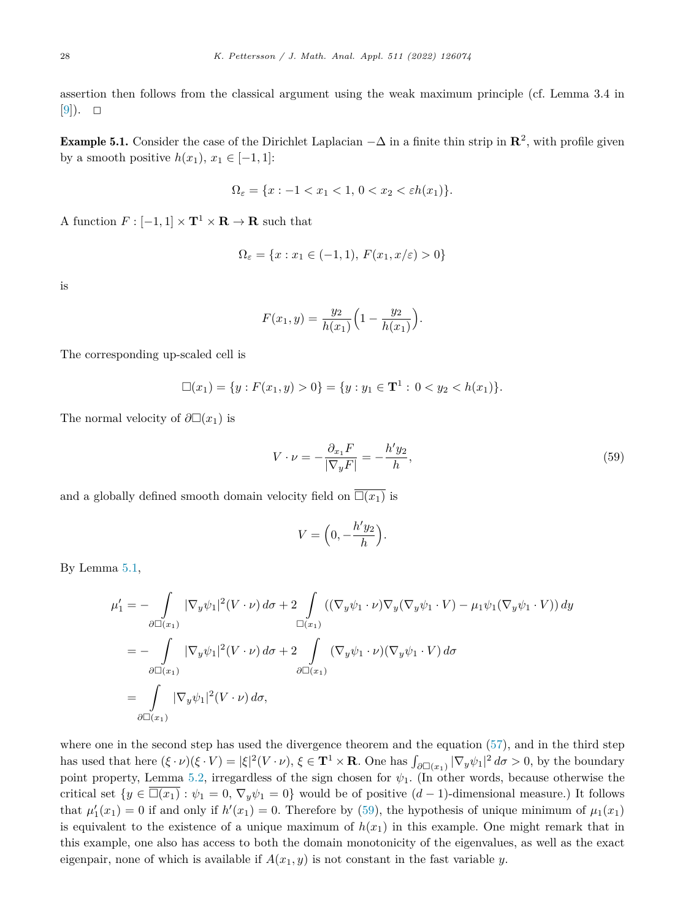<span id="page-28-0"></span>assertion then follows from the classical argument using the weak maximum principle (cf. Lemma 3.4 in  $[9]$  $[9]$ ).  $\Box$ 

**Example 5.1.** Consider the case of the Dirichlet Laplacian  $-\Delta$  in a finite thin strip in  $\mathbb{R}^2$ , with profile given by a smooth positive  $h(x_1), x_1 \in [-1, 1]$ :

$$
\Omega_{\varepsilon} = \{x : -1 < x_1 < 1, \, 0 < x_2 < \varepsilon h(x_1) \}.
$$

A function  $F : [-1, 1] \times T^1 \times \mathbb{R} \to \mathbb{R}$  such that

$$
\Omega_{\varepsilon} = \{x : x_1 \in (-1, 1), \, F(x_1, x/\varepsilon) > 0\}
$$

is

$$
F(x_1, y) = \frac{y_2}{h(x_1)} \left( 1 - \frac{y_2}{h(x_1)} \right).
$$

The corresponding up-scaled cell is

$$
\Box(x_1) = \{y : F(x_1, y) > 0\} = \{y : y_1 \in \mathbf{T}^1 : 0 < y_2 < h(x_1)\}.
$$

The normal velocity of  $\partial \Box(x_1)$  is

$$
V \cdot \nu = -\frac{\partial_{x_1} F}{|\nabla_y F|} = -\frac{h' y_2}{h},\tag{59}
$$

and a globally defined smooth domain velocity field on  $\Box(x_1)$  is

$$
V = \left(0, -\frac{h'y_2}{h}\right).
$$

By Lemma [5.1](#page-27-0),

$$
\mu_1' = -\int_{\partial \Box(x_1)} |\nabla_y \psi_1|^2 (V \cdot \nu) d\sigma + 2 \int_{\Box(x_1)} ((\nabla_y \psi_1 \cdot \nu) \nabla_y (\nabla_y \psi_1 \cdot V) - \mu_1 \psi_1 (\nabla_y \psi_1 \cdot V)) dy
$$
  
\n
$$
= -\int_{\partial \Box(x_1)} |\nabla_y \psi_1|^2 (V \cdot \nu) d\sigma + 2 \int_{\partial \Box(x_1)} (\nabla_y \psi_1 \cdot \nu) (\nabla_y \psi_1 \cdot V) d\sigma
$$
  
\n
$$
= \int_{\partial \Box(x_1)} |\nabla_y \psi_1|^2 (V \cdot \nu) d\sigma,
$$

where one in the second step has used the divergence theorem and the equation ([57\)](#page-27-0), and in the third step has used that here  $(\xi \cdot \nu)(\xi \cdot V) = |\xi|^2 (V \cdot \nu), \xi \in \mathbf{T}^1 \times \mathbf{R}$ . One has  $\int_{\partial \Box(x_1)} |\nabla_y \psi_1|^2 d\sigma > 0$ , by the boundary point property, Lemma [5.2,](#page-27-0) irregardless of the sign chosen for  $\psi_1$ . (In other words, because otherwise the critical set  $\{y \in \Box(x_1) : \psi_1 = 0, \nabla_y \psi_1 = 0\}$  would be of positive  $(d-1)$ -dimensional measure.) It follows that  $\mu'_1(x_1) = 0$  if and only if  $h'(x_1) = 0$ . Therefore by (59), the hypothesis of unique minimum of  $\mu_1(x_1)$ is equivalent to the existence of a unique maximum of  $h(x_1)$  in this example. One might remark that in this example, one also has access to both the domain monotonicity of the eigenvalues, as well as the exact eigenpair, none of which is available if  $A(x_1, y)$  is not constant in the fast variable *y*.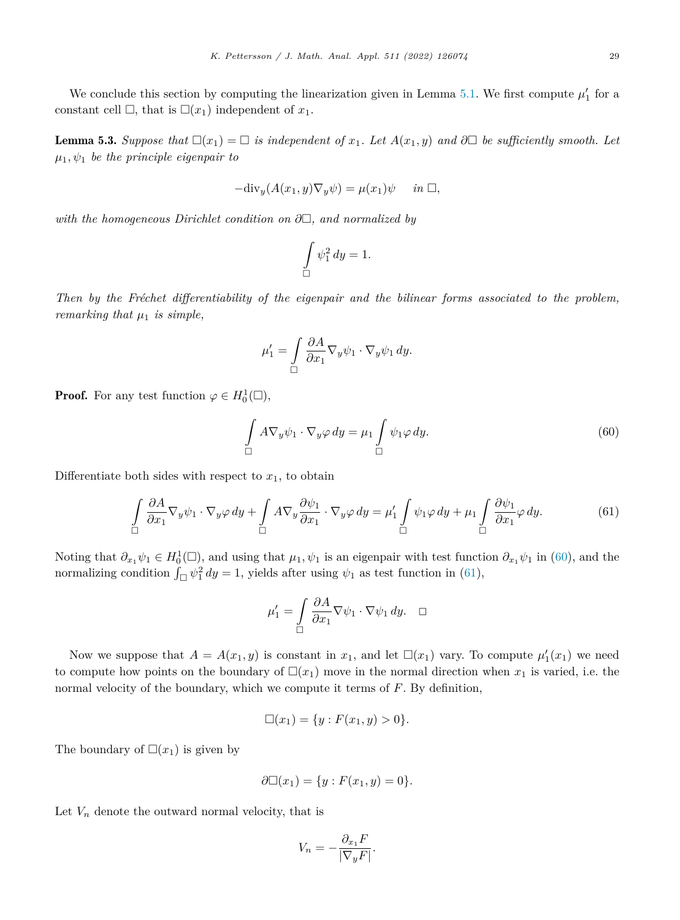<span id="page-29-0"></span>We conclude this section by computing the linearization given in Lemma [5.1](#page-27-0). We first compute  $\mu'_1$  for a constant cell  $\Box$ , that is  $\Box(x_1)$  independent of  $x_1$ .

**Lemma 5.3.** Suppose that  $\Box(x_1) = \Box$  is independent of  $x_1$ . Let  $A(x_1, y)$  and  $\partial \Box$  be sufficiently smooth. Let  $\mu_1, \psi_1$  *be the principle eigenpair to* 

$$
-\text{div}_y(A(x_1, y)\nabla_y \psi) = \mu(x_1)\psi \quad \text{in } \Box,
$$

*with the homogeneous Dirichlet condition on ∂*-*, and normalized by*

$$
\int\limits_{\square}\psi_1^2\,dy=1.
$$

*Then by the Fréchet differentiability of the eigenpair and the bilinear forms associated to the problem, remarking that*  $\mu_1$  *is simple,* 

$$
\mu_1' = \int\limits_{\square} \frac{\partial A}{\partial x_1} \nabla_y \psi_1 \cdot \nabla_y \psi_1 \, dy.
$$

**Proof.** For any test function  $\varphi \in H_0^1(\square)$ ,

$$
\int_{\square} A \nabla_y \psi_1 \cdot \nabla_y \varphi \, dy = \mu_1 \int_{\square} \psi_1 \varphi \, dy. \tag{60}
$$

Differentiate both sides with respect to  $x_1$ , to obtain

$$
\int_{\square} \frac{\partial A}{\partial x_1} \nabla_y \psi_1 \cdot \nabla_y \varphi \, dy + \int_{\square} A \nabla_y \frac{\partial \psi_1}{\partial x_1} \cdot \nabla_y \varphi \, dy = \mu_1' \int_{\square} \psi_1 \varphi \, dy + \mu_1 \int_{\square} \frac{\partial \psi_1}{\partial x_1} \varphi \, dy. \tag{61}
$$

Noting that  $\partial_{x_1} \psi_1 \in H_0^1(\square)$ , and using that  $\mu_1, \psi_1$  is an eigenpair with test function  $\partial_{x_1} \psi_1$  in (60), and the normalizing condition  $\int_{\Box} \psi_1^2 dy = 1$ , yields after using  $\psi_1$  as test function in (61),

$$
\mu_1' = \int\limits_{\square} \frac{\partial A}{\partial x_1} \nabla \psi_1 \cdot \nabla \psi_1 \, dy. \quad \square
$$

Now we suppose that  $A = A(x_1, y)$  is constant in  $x_1$ , and let  $\Box(x_1)$  vary. To compute  $\mu'_1(x_1)$  we need to compute how points on the boundary of  $\Box(x_1)$  move in the normal direction when  $x_1$  is varied, i.e. the normal velocity of the boundary, which we compute it terms of *F*. By definition,

$$
\Box(x_1) = \{y : F(x_1, y) > 0\}.
$$

The boundary of  $\square(x_1)$  is given by

$$
\partial \Box(x_1) = \{ y : F(x_1, y) = 0 \}.
$$

Let  $V_n$  denote the outward normal velocity, that is

$$
V_n = -\frac{\partial_{x_1} F}{|\nabla_y F|}.
$$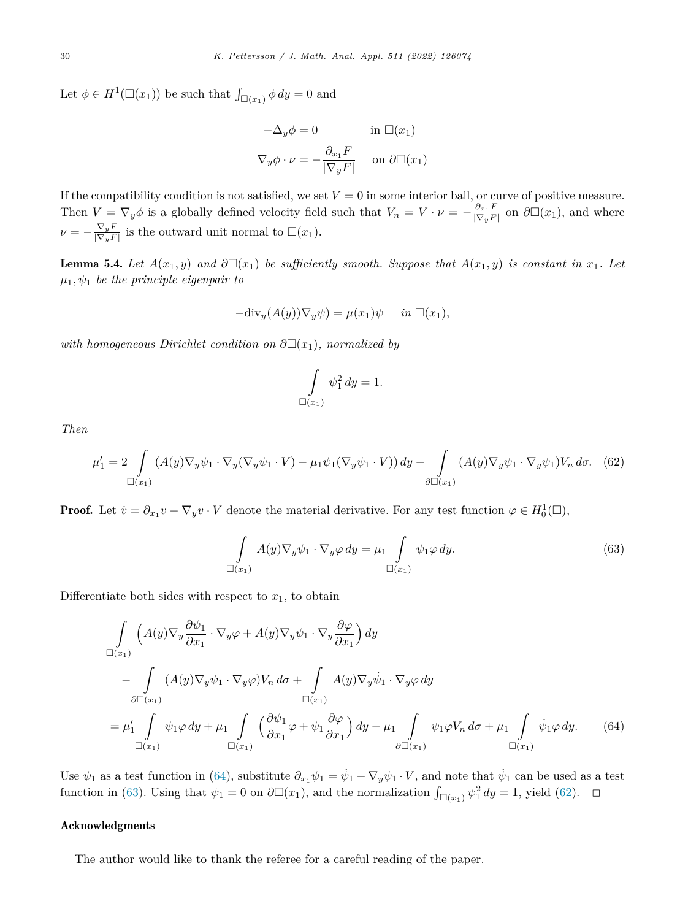<span id="page-30-0"></span>Let  $\phi \in H^1(\square(x_1))$  be such that  $\int_{\square(x_1)} \phi \, dy = 0$  and

$$
-\Delta_y \phi = 0 \quad \text{in } \Box(x_1)
$$

$$
\nabla_y \phi \cdot \nu = -\frac{\partial_{x_1} F}{|\nabla_y F|} \quad \text{on } \partial \Box(x_1)
$$

If the compatibility condition is not satisfied, we set  $V = 0$  in some interior ball, or curve of positive measure. Then  $V = \nabla_y \phi$  is a globally defined velocity field such that  $V_n = V \cdot \nu = -\frac{\partial_{x_1} F}{|\nabla_y F|}$  on  $\partial \Box(x_1)$ , and where  $\nu = -\frac{\nabla_y F}{|\nabla_y F|}$  is the outward unit normal to  $\square(x_1)$ .

**Lemma 5.4.** Let  $A(x_1, y)$  and  $\partial \Box(x_1)$  be sufficiently smooth. Suppose that  $A(x_1, y)$  is constant in  $x_1$ . Let  $\mu_1, \psi_1$  *be the principle eigenpair to* 

$$
-\text{div}_y(A(y))\nabla_y\psi) = \mu(x_1)\psi \quad \text{in } \Box(x_1),
$$

 $with~homogeneous~Dirichlet~condition~on~\partial\Box(x_1),~normalized~by$ 

$$
\int\limits_{\square(x_1)}\psi_1^2\,dy=1.
$$

*Then*

$$
\mu_1' = 2 \int\limits_{\square(x_1)} (A(y)\nabla_y \psi_1 \cdot \nabla_y (\nabla_y \psi_1 \cdot V) - \mu_1 \psi_1 (\nabla_y \psi_1 \cdot V)) dy - \int\limits_{\partial \square(x_1)} (A(y)\nabla_y \psi_1 \cdot \nabla_y \psi_1) V_n d\sigma. \tag{62}
$$

**Proof.** Let  $\dot{v} = \partial_{x_1} v - \nabla_y v \cdot V$  denote the material derivative. For any test function  $\varphi \in H_0^1(\square)$ ,

$$
\int_{\Box(x_1)} A(y) \nabla_y \psi_1 \cdot \nabla_y \varphi \, dy = \mu_1 \int_{\Box(x_1)} \psi_1 \varphi \, dy. \tag{63}
$$

Differentiate both sides with respect to  $x_1$ , to obtain

$$
\int_{\Box(x_1)} \left( A(y) \nabla_y \frac{\partial \psi_1}{\partial x_1} \cdot \nabla_y \varphi + A(y) \nabla_y \psi_1 \cdot \nabla_y \frac{\partial \varphi}{\partial x_1} \right) dy
$$
\n
$$
- \int_{\partial \Box(x_1)} (A(y) \nabla_y \psi_1 \cdot \nabla_y \varphi) V_n d\sigma + \int_{\Box(x_1)} A(y) \nabla_y \psi_1 \cdot \nabla_y \varphi dy
$$
\n
$$
= \mu'_1 \int_{\Box(x_1)} \psi_1 \varphi dy + \mu_1 \int_{\Box(x_1)} \left( \frac{\partial \psi_1}{\partial x_1} \varphi + \psi_1 \frac{\partial \varphi}{\partial x_1} \right) dy - \mu_1 \int_{\partial \Box(x_1)} \psi_1 \varphi V_n d\sigma + \mu_1 \int_{\Box(x_1)} \psi_1 \varphi dy. \tag{64}
$$

Use  $\psi_1$  as a test function in (64), substitute  $\partial_{x_1}\psi_1 = \dot{\psi}_1 - \nabla_y\psi_1 \cdot V$ , and note that  $\dot{\psi}_1$  can be used as a test function in (63). Using that  $\psi_1 = 0$  on  $\partial \Box(x_1)$ , and the normalization  $\int_{\Box(x_1)} \psi_1^2 dy = 1$ , yield (62).  $\Box$ 

### Acknowledgments

The author would like to thank the referee for a careful reading of the paper.